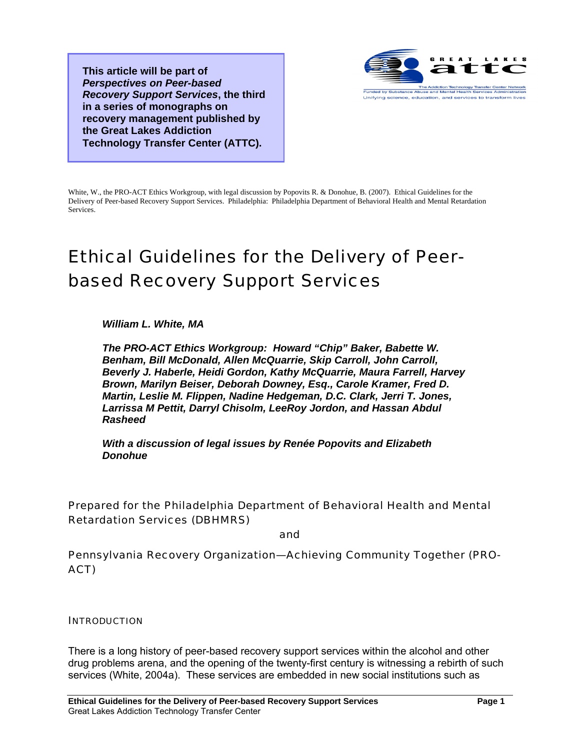**This article will be part of**  *Perspectives on Peer-based Recovery Support Services***, the third in a series of monographs on recovery management published by the Great Lakes Addiction Technology Transfer Center (ATTC).** 



White, W., the PRO-ACT Ethics Workgroup, with legal discussion by Popovits R. & Donohue, B. (2007). Ethical Guidelines for the Delivery of Peer-based Recovery Support Services. Philadelphia: Philadelphia Department of Behavioral Health and Mental Retardation Services.

# Ethical Guidelines for the Delivery of Peerbased Recovery Support Services

*William L. White, MA* 

*The PRO-ACT Ethics Workgroup: Howard "Chip" Baker, Babette W. Benham, Bill McDonald, Allen McQuarrie, Skip Carroll, John Carroll, Beverly J. Haberle, Heidi Gordon, Kathy McQuarrie, Maura Farrell, Harvey Brown, Marilyn Beiser, Deborah Downey, Esq., Carole Kramer, Fred D. Martin, Leslie M. Flippen, Nadine Hedgeman, D.C. Clark, Jerri T. Jones, Larrissa M Pettit, Darryl Chisolm, LeeRoy Jordon, and Hassan Abdul Rasheed* 

*With a discussion of legal issues by Renée Popovits and Elizabeth Donohue* 

Prepared for the Philadelphia Department of Behavioral Health and Mental Retardation Services (DBHMRS)

and

Pennsylvania Recovery Organization—Achieving Community Together (PRO-ACT)

#### **INTRODUCTION**

There is a long history of peer-based recovery support services within the alcohol and other drug problems arena, and the opening of the twenty-first century is witnessing a rebirth of such services (White, 2004a). These services are embedded in new social institutions such as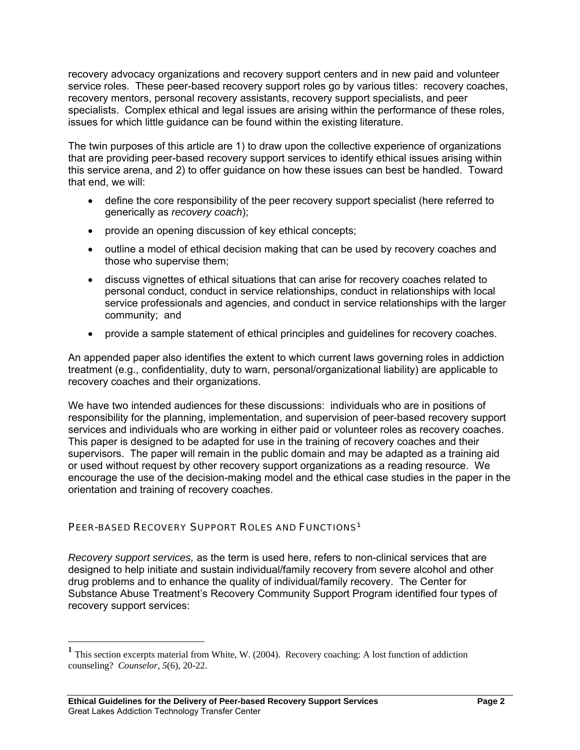recovery advocacy organizations and recovery support centers and in new paid and volunteer service roles. These peer-based recovery support roles go by various titles: recovery coaches, recovery mentors, personal recovery assistants, recovery support specialists, and peer specialists. Complex ethical and legal issues are arising within the performance of these roles, issues for which little guidance can be found within the existing literature.

The twin purposes of this article are 1) to draw upon the collective experience of organizations that are providing peer-based recovery support services to identify ethical issues arising within this service arena, and 2) to offer guidance on how these issues can best be handled. Toward that end, we will:

- define the core responsibility of the peer recovery support specialist (here referred to generically as *recovery coach*);
- provide an opening discussion of key ethical concepts;
- outline a model of ethical decision making that can be used by recovery coaches and those who supervise them;
- discuss vignettes of ethical situations that can arise for recovery coaches related to personal conduct, conduct in service relationships, conduct in relationships with local service professionals and agencies, and conduct in service relationships with the larger community; and
- provide a sample statement of ethical principles and guidelines for recovery coaches.

An appended paper also identifies the extent to which current laws governing roles in addiction treatment (e.g., confidentiality, duty to warn, personal/organizational liability) are applicable to recovery coaches and their organizations.

We have two intended audiences for these discussions: individuals who are in positions of responsibility for the planning, implementation, and supervision of peer-based recovery support services and individuals who are working in either paid or volunteer roles as recovery coaches. This paper is designed to be adapted for use in the training of recovery coaches and their supervisors. The paper will remain in the public domain and may be adapted as a training aid or used without request by other recovery support organizations as a reading resource. We encourage the use of the decision-making model and the ethical case studies in the paper in the orientation and training of recovery coaches.

# PEER-BASED RECOVERY SUPPORT ROLES AND FUNCTIONS<sup>[1](#page-1-0)</sup>

*Recovery support services,* as the term is used here, refers to non-clinical services that are designed to help initiate and sustain individual/family recovery from severe alcohol and other drug problems and to enhance the quality of individual/family recovery. The Center for Substance Abuse Treatment's Recovery Community Support Program identified four types of recovery support services:

 $\overline{a}$ 

<span id="page-1-0"></span>**<sup>1</sup>** This section excerpts material from White, W. (2004). Recovery coaching: A lost function of addiction counseling? *Counselor*, *5*(6), 20-22.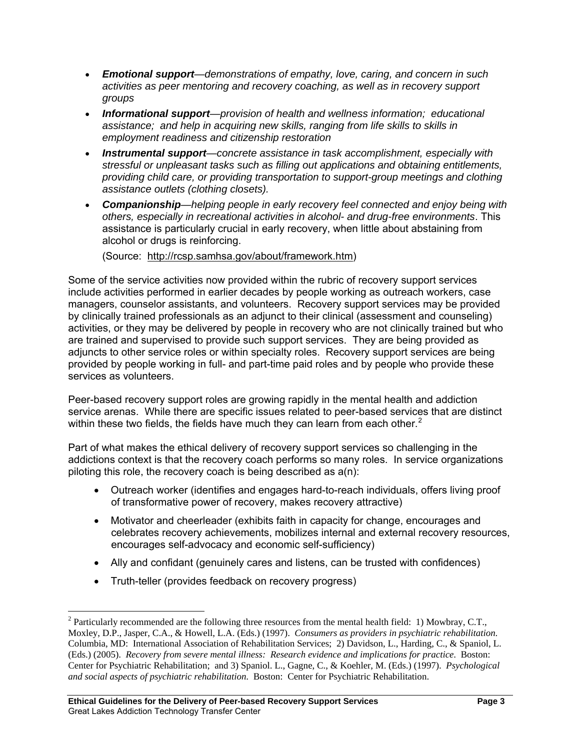- *Emotional support—demonstrations of empathy, love, caring, and concern in such activities as peer mentoring and recovery coaching, as well as in recovery support groups*
- *Informational support—provision of health and wellness information; educational assistance; and help in acquiring new skills, ranging from life skills to skills in employment readiness and citizenship restoration*
- *Instrumental support—concrete assistance in task accomplishment, especially with stressful or unpleasant tasks such as filling out applications and obtaining entitlements, providing child care, or providing transportation to support-group meetings and clothing assistance outlets (clothing closets).*
- *Companionship—helping people in early recovery feel connected and enjoy being with others, especially in recreational activities in alcohol- and drug-free environments*. This assistance is particularly crucial in early recovery, when little about abstaining from alcohol or drugs is reinforcing.

(Source: [http://rcsp.samhsa.gov/about/framework.htm\)](http://rcsp.samhsa.gov/about/framework.htm)

Some of the service activities now provided within the rubric of recovery support services include activities performed in earlier decades by people working as outreach workers, case managers, counselor assistants, and volunteers. Recovery support services may be provided by clinically trained professionals as an adjunct to their clinical (assessment and counseling) activities, or they may be delivered by people in recovery who are not clinically trained but who are trained and supervised to provide such support services. They are being provided as adjuncts to other service roles or within specialty roles. Recovery support services are being provided by people working in full- and part-time paid roles and by people who provide these services as volunteers.

Peer-based recovery support roles are growing rapidly in the mental health and addiction service arenas. While there are specific issues related to peer-based services that are distinct within these two fields, the fields have much they can learn from each other. $2$ 

Part of what makes the ethical delivery of recovery support services so challenging in the addictions context is that the recovery coach performs so many roles. In service organizations piloting this role, the recovery coach is being described as a(n):

- Outreach worker (identifies and engages hard-to-reach individuals, offers living proof of transformative power of recovery, makes recovery attractive)
- Motivator and cheerleader (exhibits faith in capacity for change, encourages and celebrates recovery achievements, mobilizes internal and external recovery resources, encourages self-advocacy and economic self-sufficiency)
- Ally and confidant (genuinely cares and listens, can be trusted with confidences)
- Truth-teller (provides feedback on recovery progress)

 $\overline{a}$ 

<span id="page-2-0"></span><sup>&</sup>lt;sup>2</sup> Particularly recommended are the following three resources from the mental health field: 1) Mowbray, C.T., Moxley, D.P., Jasper, C.A., & Howell, L.A. (Eds.) (1997). *Consumers as providers in psychiatric rehabilitation*. Columbia, MD: International Association of Rehabilitation Services; 2) Davidson, L., Harding, C., & Spaniol, L. (Eds.) (2005). *Recovery from severe mental illness: Research evidence and implications for practice*. Boston: Center for Psychiatric Rehabilitation; and 3) Spaniol. L., Gagne, C., & Koehler, M. (Eds.) (1997). *Psychological and social aspects of psychiatric rehabilitation*. Boston: Center for Psychiatric Rehabilitation.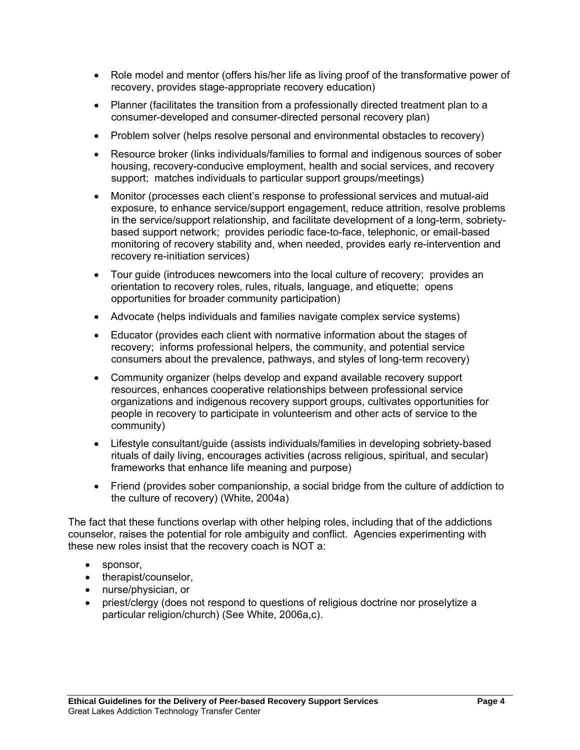- Role model and mentor (offers his/her life as living proof of the transformative power of recovery, provides stage-appropriate recovery education)
- Planner (facilitates the transition from a professionally directed treatment plan to a consumer-developed and consumer-directed personal recovery plan)
- Problem solver (helps resolve personal and environmental obstacles to recovery)
- Resource broker (links individuals/families to formal and indigenous sources of sober housing, recovery-conducive employment, health and social services, and recovery support; matches individuals to particular support groups/meetings)
- Monitor (processes each client's response to professional services and mutual-aid exposure, to enhance service/support engagement, reduce attrition, resolve problems in the service/support relationship, and facilitate development of a long-term, sobrietybased support network; provides periodic face-to-face, telephonic, or email-based monitoring of recovery stability and, when needed, provides early re-intervention and recovery re-initiation services)
- Tour guide (introduces newcomers into the local culture of recovery; provides an orientation to recovery roles, rules, rituals, language, and etiquette; opens opportunities for broader community participation)
- Advocate (helps individuals and families navigate complex service systems)
- Educator (provides each client with normative information about the stages of recovery; informs professional helpers, the community, and potential service consumers about the prevalence, pathways, and styles of long-term recovery)
- Community organizer (helps develop and expand available recovery support resources, enhances cooperative relationships between professional service organizations and indigenous recovery support groups, cultivates opportunities for people in recovery to participate in volunteerism and other acts of service to the community)
- Lifestyle consultant/guide (assists individuals/families in developing sobriety-based rituals of daily living, encourages activities (across religious, spiritual, and secular) frameworks that enhance life meaning and purpose)
- Friend (provides sober companionship, a social bridge from the culture of addiction to the culture of recovery) (White, 2004a)

The fact that these functions overlap with other helping roles, including that of the addictions counselor, raises the potential for role ambiguity and conflict. Agencies experimenting with these new roles insist that the recovery coach is NOT a:

- sponsor,
- therapist/counselor,
- nurse/physician, or
- priest/clergy (does not respond to questions of religious doctrine nor proselytize a particular religion/church) (See White, 2006a,c).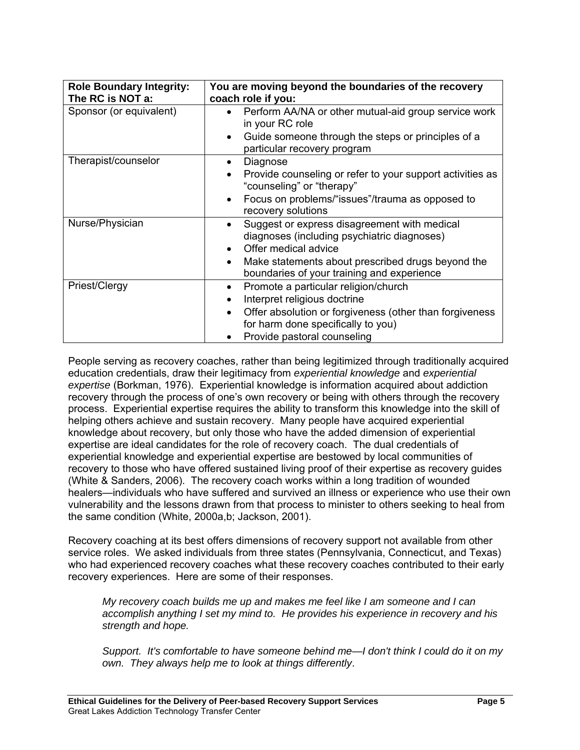| <b>Role Boundary Integrity:</b><br>The RC is NOT a: | You are moving beyond the boundaries of the recovery<br>coach role if you:                                                                                                                                                          |
|-----------------------------------------------------|-------------------------------------------------------------------------------------------------------------------------------------------------------------------------------------------------------------------------------------|
| Sponsor (or equivalent)                             | Perform AA/NA or other mutual-aid group service work<br>$\bullet$<br>in your RC role<br>Guide someone through the steps or principles of a<br>$\bullet$                                                                             |
|                                                     | particular recovery program                                                                                                                                                                                                         |
| Therapist/counselor                                 | Diagnose<br>$\bullet$<br>Provide counseling or refer to your support activities as<br>"counseling" or "therapy"<br>Focus on problems/"issues"/trauma as opposed to<br>$\bullet$<br>recovery solutions                               |
| Nurse/Physician                                     | Suggest or express disagreement with medical<br>diagnoses (including psychiatric diagnoses)<br>Offer medical advice<br>Make statements about prescribed drugs beyond the<br>$\bullet$<br>boundaries of your training and experience |
| Priest/Clergy                                       | Promote a particular religion/church<br>Interpret religious doctrine<br>$\bullet$<br>Offer absolution or forgiveness (other than forgiveness<br>for harm done specifically to you)<br>Provide pastoral counseling                   |

People serving as recovery coaches, rather than being legitimized through traditionally acquired education credentials, draw their legitimacy from *experiential knowledge* and *experiential expertise* (Borkman, 1976). Experiential knowledge is information acquired about addiction recovery through the process of one's own recovery or being with others through the recovery process. Experiential expertise requires the ability to transform this knowledge into the skill of helping others achieve and sustain recovery. Many people have acquired experiential knowledge about recovery, but only those who have the added dimension of experiential expertise are ideal candidates for the role of recovery coach. The dual credentials of experiential knowledge and experiential expertise are bestowed by local communities of recovery to those who have offered sustained living proof of their expertise as recovery guides (White & Sanders, 2006). The recovery coach works within a long tradition of wounded healers—individuals who have suffered and survived an illness or experience who use their own vulnerability and the lessons drawn from that process to minister to others seeking to heal from the same condition (White, 2000a,b; Jackson, 2001).

Recovery coaching at its best offers dimensions of recovery support not available from other service roles. We asked individuals from three states (Pennsylvania, Connecticut, and Texas) who had experienced recovery coaches what these recovery coaches contributed to their early recovery experiences. Here are some of their responses.

*My recovery coach builds me up and makes me feel like I am someone and I can accomplish anything I set my mind to. He provides his experience in recovery and his strength and hope.* 

*Support. It's comfortable to have someone behind me—I don't think I could do it on my own. They always help me to look at things differently*.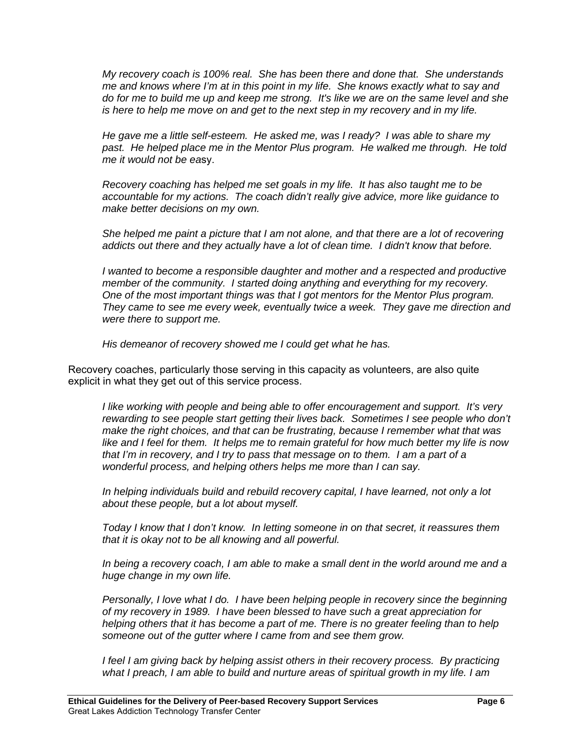*My recovery coach is 100% real. She has been there and done that. She understands me and knows where I'm at in this point in my life. She knows exactly what to say and do for me to build me up and keep me strong. It's like we are on the same level and she is here to help me move on and get to the next step in my recovery and in my life.* 

*He gave me a little self-esteem. He asked me, was I ready? I was able to share my past. He helped place me in the Mentor Plus program. He walked me through. He told me it would not be ea*sy.

*Recovery coaching has helped me set goals in my life. It has also taught me to be accountable for my actions. The coach didn't really give advice, more like guidance to make better decisions on my own.* 

 *She helped me paint a picture that I am not alone, and that there are a lot of recovering addicts out there and they actually have a lot of clean time. I didn't know that before.* 

*I* wanted to become a responsible daughter and mother and a respected and productive *member of the community. I started doing anything and everything for my recovery. One of the most important things was that I got mentors for the Mentor Plus program. They came to see me every week, eventually twice a week. They gave me direction and were there to support me.* 

*His demeanor of recovery showed me I could get what he has.* 

Recovery coaches, particularly those serving in this capacity as volunteers, are also quite explicit in what they get out of this service process.

*I like working with people and being able to offer encouragement and support. It's very rewarding to see people start getting their lives back. Sometimes I see people who don't make the right choices, and that can be frustrating, because I remember what that was like and I feel for them. It helps me to remain grateful for how much better my life is now that I'm in recovery, and I try to pass that message on to them. I am a part of a wonderful process, and helping others helps me more than I can say.* 

*In helping individuals build and rebuild recovery capital, I have learned, not only a lot about these people, but a lot about myself.* 

*Today I know that I don't know. In letting someone in on that secret, it reassures them that it is okay not to be all knowing and all powerful.* 

*In being a recovery coach, I am able to make a small dent in the world around me and a huge change in my own life.* 

*Personally, I love what I do. I have been helping people in recovery since the beginning of my recovery in 1989. I have been blessed to have such a great appreciation for helping others that it has become a part of me. There is no greater feeling than to help someone out of the gutter where I came from and see them grow.* 

 *I feel I am giving back by helping assist others in their recovery process. By practicing what I preach, I am able to build and nurture areas of spiritual growth in my life. I am*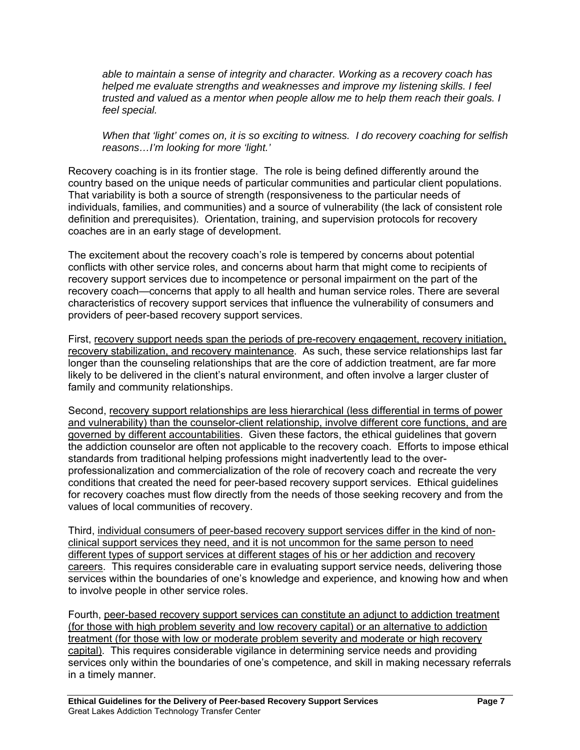*able to maintain a sense of integrity and character. Working as a recovery coach has helped me evaluate strengths and weaknesses and improve my listening skills. I feel trusted and valued as a mentor when people allow me to help them reach their goals. I feel special.* 

*When that 'light' comes on, it is so exciting to witness. I do recovery coaching for selfish reasons…I'm looking for more 'light.'*

Recovery coaching is in its frontier stage. The role is being defined differently around the country based on the unique needs of particular communities and particular client populations. That variability is both a source of strength (responsiveness to the particular needs of individuals, families, and communities) and a source of vulnerability (the lack of consistent role definition and prerequisites). Orientation, training, and supervision protocols for recovery coaches are in an early stage of development.

The excitement about the recovery coach's role is tempered by concerns about potential conflicts with other service roles, and concerns about harm that might come to recipients of recovery support services due to incompetence or personal impairment on the part of the recovery coach—concerns that apply to all health and human service roles. There are several characteristics of recovery support services that influence the vulnerability of consumers and providers of peer-based recovery support services.

First, recovery support needs span the periods of pre-recovery engagement, recovery initiation, recovery stabilization, and recovery maintenance. As such, these service relationships last far longer than the counseling relationships that are the core of addiction treatment, are far more likely to be delivered in the client's natural environment, and often involve a larger cluster of family and community relationships.

Second, recovery support relationships are less hierarchical (less differential in terms of power and vulnerability) than the counselor-client relationship, involve different core functions, and are governed by different accountabilities. Given these factors, the ethical guidelines that govern the addiction counselor are often not applicable to the recovery coach. Efforts to impose ethical standards from traditional helping professions might inadvertently lead to the overprofessionalization and commercialization of the role of recovery coach and recreate the very conditions that created the need for peer-based recovery support services. Ethical guidelines for recovery coaches must flow directly from the needs of those seeking recovery and from the values of local communities of recovery.

Third, individual consumers of peer-based recovery support services differ in the kind of nonclinical support services they need, and it is not uncommon for the same person to need different types of support services at different stages of his or her addiction and recovery careers. This requires considerable care in evaluating support service needs, delivering those services within the boundaries of one's knowledge and experience, and knowing how and when to involve people in other service roles.

Fourth, peer-based recovery support services can constitute an adjunct to addiction treatment (for those with high problem severity and low recovery capital) or an alternative to addiction treatment (for those with low or moderate problem severity and moderate or high recovery capital). This requires considerable vigilance in determining service needs and providing services only within the boundaries of one's competence, and skill in making necessary referrals in a timely manner.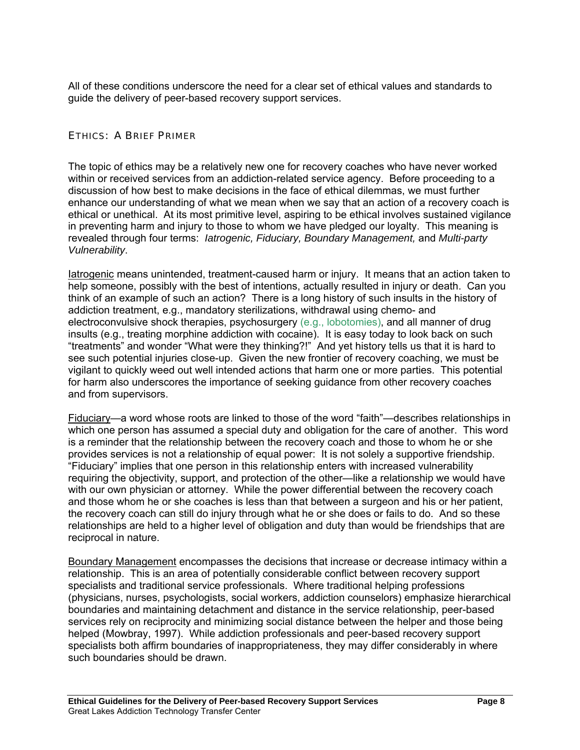All of these conditions underscore the need for a clear set of ethical values and standards to guide the delivery of peer-based recovery support services.

# ETHICS: A BRIEF PRIMER

The topic of ethics may be a relatively new one for recovery coaches who have never worked within or received services from an addiction-related service agency. Before proceeding to a discussion of how best to make decisions in the face of ethical dilemmas, we must further enhance our understanding of what we mean when we say that an action of a recovery coach is ethical or unethical. At its most primitive level, aspiring to be ethical involves sustained vigilance in preventing harm and injury to those to whom we have pledged our loyalty. This meaning is revealed through four terms: *Iatrogenic, Fiduciary, Boundary Management,* and *Multi-party Vulnerability*.

Iatrogenic means unintended, treatment-caused harm or injury. It means that an action taken to help someone, possibly with the best of intentions, actually resulted in injury or death. Can you think of an example of such an action? There is a long history of such insults in the history of addiction treatment, e.g., mandatory sterilizations, withdrawal using chemo- and electroconvulsive shock therapies, psychosurgery (e.g., lobotomies), and all manner of drug insults (e.g., treating morphine addiction with cocaine). It is easy today to look back on such "treatments" and wonder "What were they thinking?!" And yet history tells us that it is hard to see such potential injuries close-up. Given the new frontier of recovery coaching, we must be vigilant to quickly weed out well intended actions that harm one or more parties. This potential for harm also underscores the importance of seeking guidance from other recovery coaches and from supervisors.

Fiduciary—a word whose roots are linked to those of the word "faith"—describes relationships in which one person has assumed a special duty and obligation for the care of another. This word is a reminder that the relationship between the recovery coach and those to whom he or she provides services is not a relationship of equal power: It is not solely a supportive friendship. "Fiduciary" implies that one person in this relationship enters with increased vulnerability requiring the objectivity, support, and protection of the other—like a relationship we would have with our own physician or attorney. While the power differential between the recovery coach and those whom he or she coaches is less than that between a surgeon and his or her patient, the recovery coach can still do injury through what he or she does or fails to do. And so these relationships are held to a higher level of obligation and duty than would be friendships that are reciprocal in nature.

Boundary Management encompasses the decisions that increase or decrease intimacy within a relationship. This is an area of potentially considerable conflict between recovery support specialists and traditional service professionals. Where traditional helping professions (physicians, nurses, psychologists, social workers, addiction counselors) emphasize hierarchical boundaries and maintaining detachment and distance in the service relationship, peer-based services rely on reciprocity and minimizing social distance between the helper and those being helped (Mowbray, 1997). While addiction professionals and peer-based recovery support specialists both affirm boundaries of inappropriateness, they may differ considerably in where such boundaries should be drawn.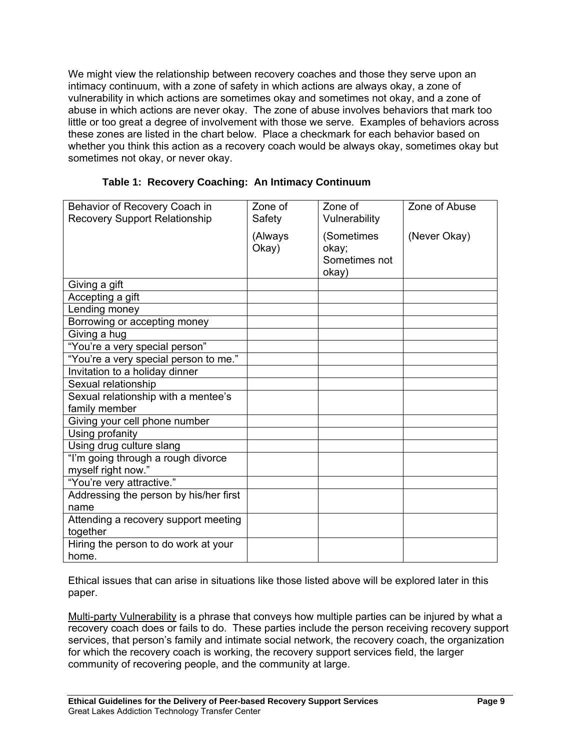We might view the relationship between recovery coaches and those they serve upon an intimacy continuum, with a zone of safety in which actions are always okay, a zone of vulnerability in which actions are sometimes okay and sometimes not okay, and a zone of abuse in which actions are never okay. The zone of abuse involves behaviors that mark too little or too great a degree of involvement with those we serve. Examples of behaviors across these zones are listed in the chart below. Place a checkmark for each behavior based on whether you think this action as a recovery coach would be always okay, sometimes okay but sometimes not okay, or never okay.

| Behavior of Recovery Coach in          | Zone of | Zone of       | Zone of Abuse |
|----------------------------------------|---------|---------------|---------------|
| <b>Recovery Support Relationship</b>   | Safety  | Vulnerability |               |
|                                        | (Always | (Sometimes    | (Never Okay)  |
|                                        | Okay)   | okay;         |               |
|                                        |         | Sometimes not |               |
|                                        |         | okay)         |               |
| Giving a gift                          |         |               |               |
| Accepting a gift                       |         |               |               |
| Lending money                          |         |               |               |
| Borrowing or accepting money           |         |               |               |
| Giving a hug                           |         |               |               |
| "You're a very special person"         |         |               |               |
| "You're a very special person to me."  |         |               |               |
| Invitation to a holiday dinner         |         |               |               |
| Sexual relationship                    |         |               |               |
| Sexual relationship with a mentee's    |         |               |               |
| family member                          |         |               |               |
| Giving your cell phone number          |         |               |               |
| Using profanity                        |         |               |               |
| Using drug culture slang               |         |               |               |
| "I'm going through a rough divorce     |         |               |               |
| myself right now."                     |         |               |               |
| "You're very attractive."              |         |               |               |
| Addressing the person by his/her first |         |               |               |
| name                                   |         |               |               |
| Attending a recovery support meeting   |         |               |               |
| together                               |         |               |               |
| Hiring the person to do work at your   |         |               |               |
| home.                                  |         |               |               |

|  |  | Table 1: Recovery Coaching: An Intimacy Continuum |
|--|--|---------------------------------------------------|
|  |  |                                                   |

Ethical issues that can arise in situations like those listed above will be explored later in this paper.

Multi-party Vulnerability is a phrase that conveys how multiple parties can be injured by what a recovery coach does or fails to do. These parties include the person receiving recovery support services, that person's family and intimate social network, the recovery coach, the organization for which the recovery coach is working, the recovery support services field, the larger community of recovering people, and the community at large.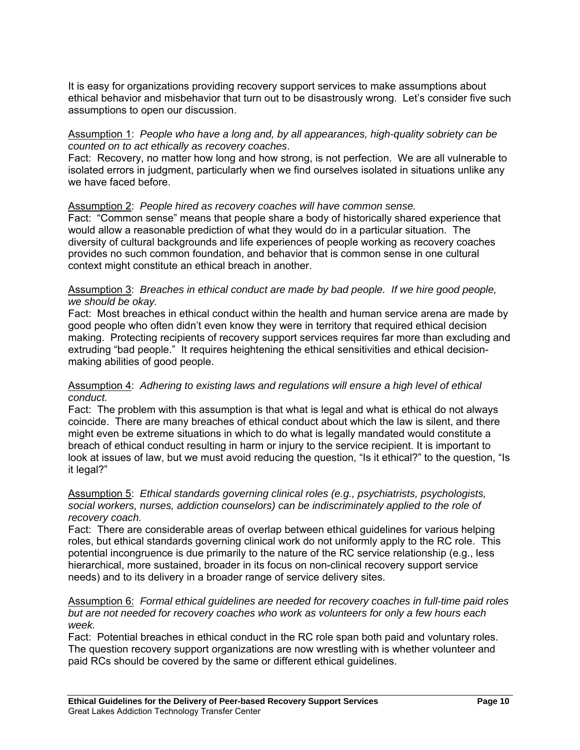It is easy for organizations providing recovery support services to make assumptions about ethical behavior and misbehavior that turn out to be disastrously wrong. Let's consider five such assumptions to open our discussion.

## Assumption 1: *People who have a long and, by all appearances, high-quality sobriety can be counted on to act ethically as recovery coaches*.

Fact: Recovery, no matter how long and how strong, is not perfection. We are all vulnerable to isolated errors in judgment, particularly when we find ourselves isolated in situations unlike any we have faced before.

# Assumption 2: *People hired as recovery coaches will have common sense.*

Fact: "Common sense" means that people share a body of historically shared experience that would allow a reasonable prediction of what they would do in a particular situation. The diversity of cultural backgrounds and life experiences of people working as recovery coaches provides no such common foundation, and behavior that is common sense in one cultural context might constitute an ethical breach in another.

## Assumption 3: *Breaches in ethical conduct are made by bad people. If we hire good people, we should be okay.*

Fact: Most breaches in ethical conduct within the health and human service arena are made by good people who often didn't even know they were in territory that required ethical decision making. Protecting recipients of recovery support services requires far more than excluding and extruding "bad people." It requires heightening the ethical sensitivities and ethical decisionmaking abilities of good people.

## Assumption 4: *Adhering to existing laws and regulations will ensure a high level of ethical conduct.*

Fact: The problem with this assumption is that what is legal and what is ethical do not always coincide. There are many breaches of ethical conduct about which the law is silent, and there might even be extreme situations in which to do what is legally mandated would constitute a breach of ethical conduct resulting in harm or injury to the service recipient. It is important to look at issues of law, but we must avoid reducing the question, "Is it ethical?" to the question, "Is it legal?"

#### Assumption 5: *Ethical standards governing clinical roles (e.g., psychiatrists, psychologists, social workers, nurses, addiction counselors) can be indiscriminately applied to the role of recovery coach.*

Fact: There are considerable areas of overlap between ethical guidelines for various helping roles, but ethical standards governing clinical work do not uniformly apply to the RC role. This potential incongruence is due primarily to the nature of the RC service relationship (e.g., less hierarchical, more sustained, broader in its focus on non-clinical recovery support service needs) and to its delivery in a broader range of service delivery sites.

## Assumption 6: *Formal ethical guidelines are needed for recovery coaches in full-time paid roles but are not needed for recovery coaches who work as volunteers for only a few hours each week.*

Fact: Potential breaches in ethical conduct in the RC role span both paid and voluntary roles. The question recovery support organizations are now wrestling with is whether volunteer and paid RCs should be covered by the same or different ethical guidelines.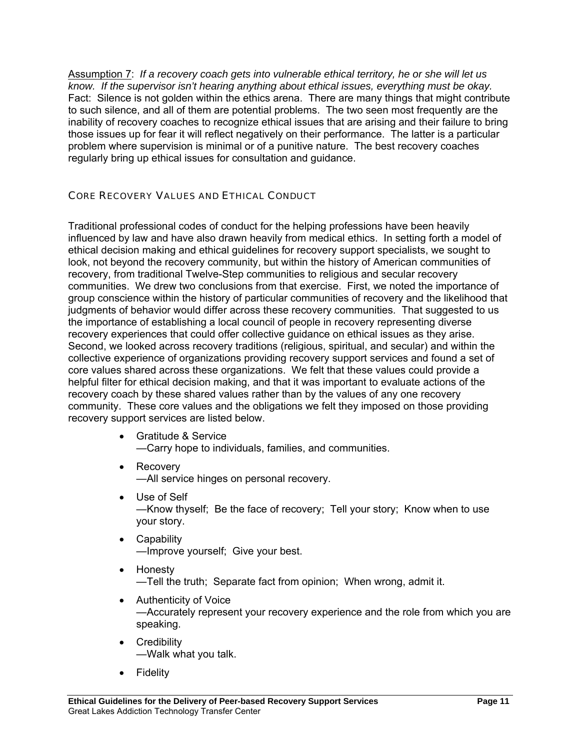Assumption 7: *If a recovery coach gets into vulnerable ethical territory, he or she will let us know. If the supervisor isn't hearing anything about ethical issues, everything must be okay.*  Fact: Silence is not golden within the ethics arena. There are many things that might contribute to such silence, and all of them are potential problems. The two seen most frequently are the inability of recovery coaches to recognize ethical issues that are arising and their failure to bring those issues up for fear it will reflect negatively on their performance. The latter is a particular problem where supervision is minimal or of a punitive nature. The best recovery coaches regularly bring up ethical issues for consultation and guidance.

# CORE RECOVERY VALUES AND ETHICAL CONDUCT

Traditional professional codes of conduct for the helping professions have been heavily influenced by law and have also drawn heavily from medical ethics. In setting forth a model of ethical decision making and ethical guidelines for recovery support specialists, we sought to look, not beyond the recovery community, but within the history of American communities of recovery, from traditional Twelve-Step communities to religious and secular recovery communities. We drew two conclusions from that exercise. First, we noted the importance of group conscience within the history of particular communities of recovery and the likelihood that judgments of behavior would differ across these recovery communities. That suggested to us the importance of establishing a local council of people in recovery representing diverse recovery experiences that could offer collective guidance on ethical issues as they arise. Second, we looked across recovery traditions (religious, spiritual, and secular) and within the collective experience of organizations providing recovery support services and found a set of core values shared across these organizations. We felt that these values could provide a helpful filter for ethical decision making, and that it was important to evaluate actions of the recovery coach by these shared values rather than by the values of any one recovery community. These core values and the obligations we felt they imposed on those providing recovery support services are listed below.

- Gratitude & Service —Carry hope to individuals, families, and communities.
- Recovery —All service hinges on personal recovery.
- Use of Self —Know thyself; Be the face of recovery; Tell your story; Know when to use your story.
- Capability —Improve yourself; Give your best.
- Honesty —Tell the truth; Separate fact from opinion; When wrong, admit it.
- Authenticity of Voice —Accurately represent your recovery experience and the role from which you are speaking.
- Credibility —Walk what you talk.
- Fidelity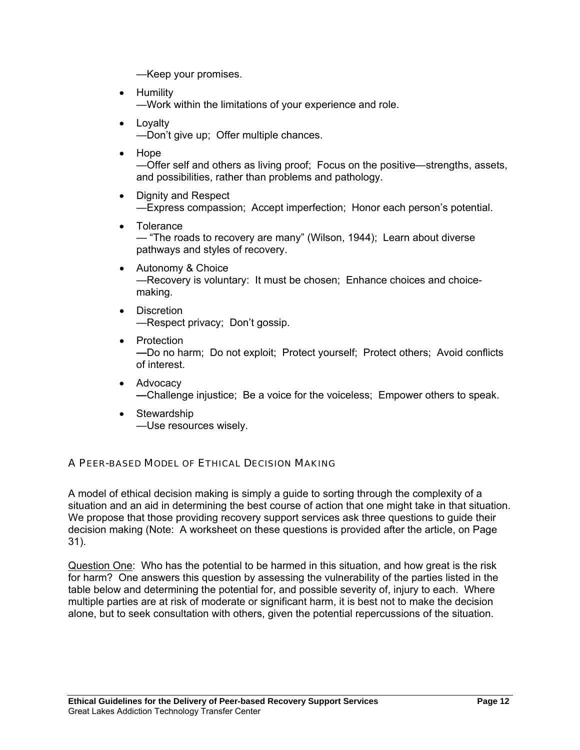—Keep your promises.

- Humility —Work within the limitations of your experience and role.
- Loyalty —Don't give up; Offer multiple chances.
- Hope

—Offer self and others as living proof; Focus on the positive—strengths, assets, and possibilities, rather than problems and pathology.

- Dignity and Respect —Express compassion; Accept imperfection; Honor each person's potential.
- Tolerance — "The roads to recovery are many" (Wilson, 1944); Learn about diverse pathways and styles of recovery.
- Autonomy & Choice —Recovery is voluntary: It must be chosen; Enhance choices and choicemaking.
- Discretion —Respect privacy; Don't gossip.
- Protection **—**Do no harm; Do not exploit; Protect yourself; Protect others; Avoid conflicts of interest.
- Advocacy **—**Challenge injustice; Be a voice for the voiceless; Empower others to speak.
- Stewardship —Use resources wisely.

# A PEER-BASED MODEL OF ETHICAL DECISION MAKING

A model of ethical decision making is simply a guide to sorting through the complexity of a situation and an aid in determining the best course of action that one might take in that situation. We propose that those providing recovery support services ask three questions to quide their decision making (Note: A worksheet on these questions is provided after the article, on Page 31).

Question One: Who has the potential to be harmed in this situation, and how great is the risk for harm? One answers this question by assessing the vulnerability of the parties listed in the table below and determining the potential for, and possible severity of, injury to each. Where multiple parties are at risk of moderate or significant harm, it is best not to make the decision alone, but to seek consultation with others, given the potential repercussions of the situation.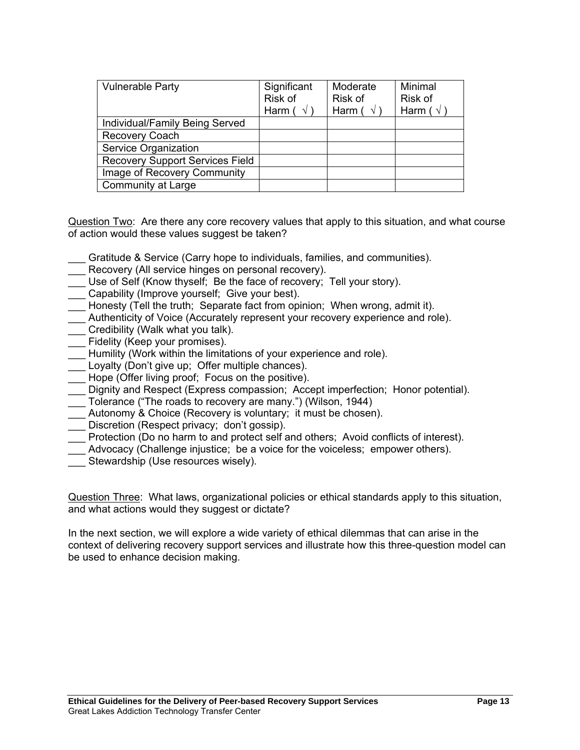| <b>Vulnerable Party</b>                | Significant<br>Risk of<br>Harm ( $\sqrt{ }$ | Moderate<br>Risk of<br>Harm ( $\sqrt{ }$ | Minimal<br>Risk of<br>Harm ( $\sqrt{ }$ ) |
|----------------------------------------|---------------------------------------------|------------------------------------------|-------------------------------------------|
| Individual/Family Being Served         |                                             |                                          |                                           |
| <b>Recovery Coach</b>                  |                                             |                                          |                                           |
| Service Organization                   |                                             |                                          |                                           |
| <b>Recovery Support Services Field</b> |                                             |                                          |                                           |
| Image of Recovery Community            |                                             |                                          |                                           |
| <b>Community at Large</b>              |                                             |                                          |                                           |

Question Two: Are there any core recovery values that apply to this situation, and what course of action would these values suggest be taken?

- \_\_\_ Gratitude & Service (Carry hope to individuals, families, and communities).
- \_\_\_ Recovery (All service hinges on personal recovery).
- Use of Self (Know thyself; Be the face of recovery; Tell your story).
- Capability (Improve yourself; Give your best).
- Honesty (Tell the truth; Separate fact from opinion; When wrong, admit it).
- \_\_\_ Authenticity of Voice (Accurately represent your recovery experience and role).
- \_\_\_ Credibility (Walk what you talk).
- \_\_\_ Fidelity (Keep your promises).
- Humility (Work within the limitations of your experience and role).
- Loyalty (Don't give up; Offer multiple chances).
- Hope (Offer living proof; Focus on the positive).
- \_\_\_ Dignity and Respect (Express compassion; Accept imperfection; Honor potential).
- \_\_\_ Tolerance ("The roads to recovery are many.") (Wilson, 1944)
- Autonomy & Choice (Recovery is voluntary; it must be chosen).
- \_\_\_ Discretion (Respect privacy; don't gossip).
- \_\_\_ Protection (Do no harm to and protect self and others; Avoid conflicts of interest).
- \_\_\_ Advocacy (Challenge injustice; be a voice for the voiceless; empower others).
- Stewardship (Use resources wisely).

Question Three: What laws, organizational policies or ethical standards apply to this situation, and what actions would they suggest or dictate?

In the next section, we will explore a wide variety of ethical dilemmas that can arise in the context of delivering recovery support services and illustrate how this three-question model can be used to enhance decision making.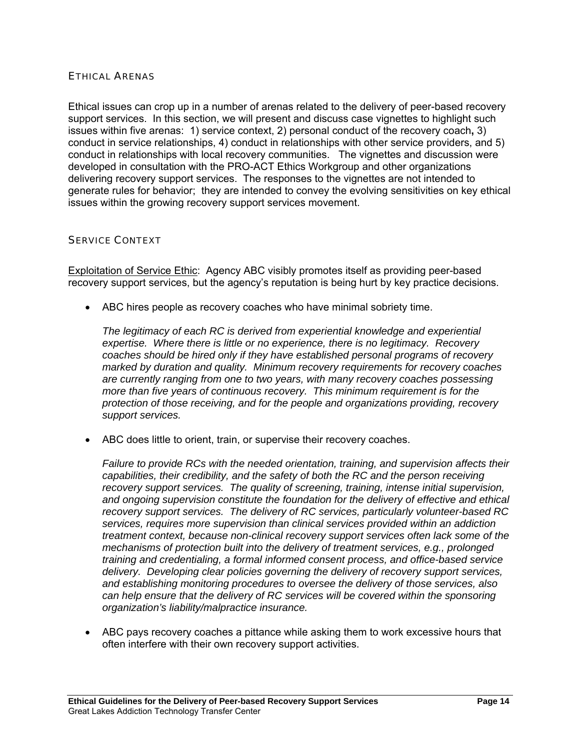## ETHICAL ARENAS

Ethical issues can crop up in a number of arenas related to the delivery of peer-based recovery support services. In this section, we will present and discuss case vignettes to highlight such issues within five arenas: 1) service context, 2) personal conduct of the recovery coach**,** 3) conduct in service relationships, 4) conduct in relationships with other service providers, and 5) conduct in relationships with local recovery communities. The vignettes and discussion were developed in consultation with the PRO-ACT Ethics Workgroup and other organizations delivering recovery support services. The responses to the vignettes are not intended to generate rules for behavior; they are intended to convey the evolving sensitivities on key ethical issues within the growing recovery support services movement.

#### SERVICE CONTEXT

Exploitation of Service Ethic: Agency ABC visibly promotes itself as providing peer-based recovery support services, but the agency's reputation is being hurt by key practice decisions.

ABC hires people as recovery coaches who have minimal sobriety time.

*The legitimacy of each RC is derived from experiential knowledge and experiential expertise. Where there is little or no experience, there is no legitimacy. Recovery coaches should be hired only if they have established personal programs of recovery marked by duration and quality. Minimum recovery requirements for recovery coaches are currently ranging from one to two years, with many recovery coaches possessing more than five years of continuous recovery. This minimum requirement is for the protection of those receiving, and for the people and organizations providing, recovery support services.* 

ABC does little to orient, train, or supervise their recovery coaches.

*Failure to provide RCs with the needed orientation, training, and supervision affects their capabilities, their credibility, and the safety of both the RC and the person receiving recovery support services. The quality of screening, training, intense initial supervision, and ongoing supervision constitute the foundation for the delivery of effective and ethical recovery support services. The delivery of RC services, particularly volunteer-based RC services, requires more supervision than clinical services provided within an addiction treatment context, because non-clinical recovery support services often lack some of the mechanisms of protection built into the delivery of treatment services, e.g., prolonged training and credentialing, a formal informed consent process, and office-based service delivery. Developing clear policies governing the delivery of recovery support services, and establishing monitoring procedures to oversee the delivery of those services, also can help ensure that the delivery of RC services will be covered within the sponsoring organization's liability/malpractice insurance.* 

 ABC pays recovery coaches a pittance while asking them to work excessive hours that often interfere with their own recovery support activities.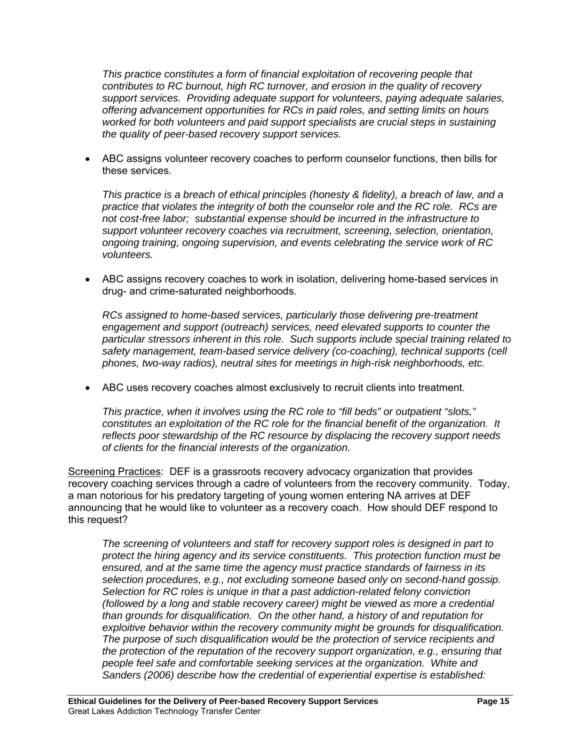*This practice constitutes a form of financial exploitation of recovering people that contributes to RC burnout, high RC turnover, and erosion in the quality of recovery support services. Providing adequate support for volunteers, paying adequate salaries, offering advancement opportunities for RCs in paid roles, and setting limits on hours worked for both volunteers and paid support specialists are crucial steps in sustaining the quality of peer-based recovery support services.* 

 ABC assigns volunteer recovery coaches to perform counselor functions, then bills for these services.

*This practice is a breach of ethical principles (honesty & fidelity), a breach of law, and a practice that violates the integrity of both the counselor role and the RC role. RCs are not cost-free labor; substantial expense should be incurred in the infrastructure to support volunteer recovery coaches via recruitment, screening, selection, orientation, ongoing training, ongoing supervision, and events celebrating the service work of RC volunteers.* 

 ABC assigns recovery coaches to work in isolation, delivering home-based services in drug- and crime-saturated neighborhoods.

*RCs assigned to home-based services, particularly those delivering pre-treatment engagement and support (outreach) services, need elevated supports to counter the particular stressors inherent in this role. Such supports include special training related to safety management, team-based service delivery (co-coaching), technical supports (cell phones, two-way radios), neutral sites for meetings in high-risk neighborhoods, etc.* 

ABC uses recovery coaches almost exclusively to recruit clients into treatment.

*This practice, when it involves using the RC role to "fill beds" or outpatient "slots," constitutes an exploitation of the RC role for the financial benefit of the organization. It reflects poor stewardship of the RC resource by displacing the recovery support needs of clients for the financial interests of the organization.* 

Screening Practices: DEF is a grassroots recovery advocacy organization that provides recovery coaching services through a cadre of volunteers from the recovery community. Today, a man notorious for his predatory targeting of young women entering NA arrives at DEF announcing that he would like to volunteer as a recovery coach. How should DEF respond to this request?

*The screening of volunteers and staff for recovery support roles is designed in part to protect the hiring agency and its service constituents. This protection function must be ensured, and at the same time the agency must practice standards of fairness in its selection procedures, e.g., not excluding someone based only on second-hand gossip. Selection for RC roles is unique in that a past addiction-related felony conviction (followed by a long and stable recovery career) might be viewed as more a credential than grounds for disqualification. On the other hand, a history of and reputation for exploitive behavior within the recovery community might be grounds for disqualification. The purpose of such disqualification would be the protection of service recipients and the protection of the reputation of the recovery support organization, e.g., ensuring that people feel safe and comfortable seeking services at the organization. White and Sanders (2006) describe how the credential of experiential expertise is established:*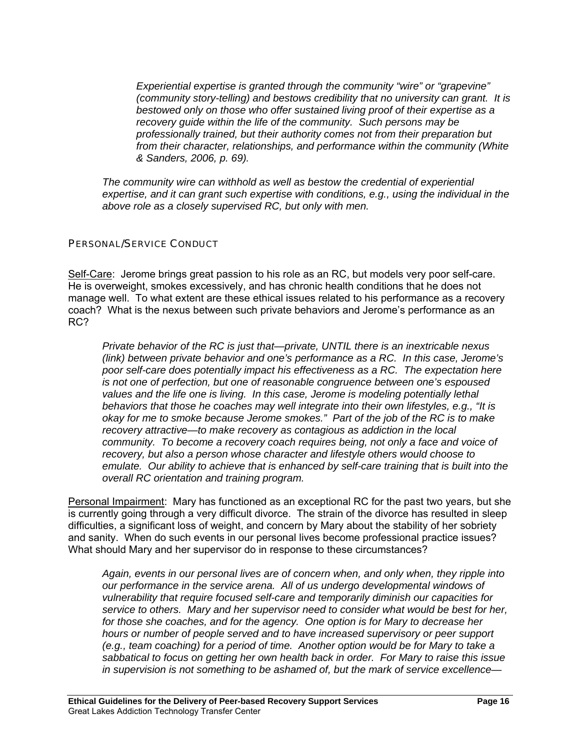*Experiential expertise is granted through the community "wire" or "grapevine" (community story-telling) and bestows credibility that no university can grant. It is bestowed only on those who offer sustained living proof of their expertise as a recovery guide within the life of the community. Such persons may be professionally trained, but their authority comes not from their preparation but from their character, relationships, and performance within the community (White & Sanders, 2006, p. 69).* 

*The community wire can withhold as well as bestow the credential of experiential expertise, and it can grant such expertise with conditions, e.g., using the individual in the above role as a closely supervised RC, but only with men.* 

# PERSONAL/SERVICE CONDUCT

Self-Care: Jerome brings great passion to his role as an RC, but models very poor self-care. He is overweight, smokes excessively, and has chronic health conditions that he does not manage well. To what extent are these ethical issues related to his performance as a recovery coach? What is the nexus between such private behaviors and Jerome's performance as an RC?

*Private behavior of the RC is just that—private, UNTIL there is an inextricable nexus (link) between private behavior and one's performance as a RC. In this case, Jerome's poor self-care does potentially impact his effectiveness as a RC. The expectation here is not one of perfection, but one of reasonable congruence between one's espoused*  values and the life one is living. In this case, Jerome is modeling potentially lethal *behaviors that those he coaches may well integrate into their own lifestyles, e.g., "It is okay for me to smoke because Jerome smokes." Part of the job of the RC is to make recovery attractive—to make recovery as contagious as addiction in the local community. To become a recovery coach requires being, not only a face and voice of recovery, but also a person whose character and lifestyle others would choose to emulate. Our ability to achieve that is enhanced by self-care training that is built into the overall RC orientation and training program.* 

Personal Impairment: Mary has functioned as an exceptional RC for the past two years, but she is currently going through a very difficult divorce. The strain of the divorce has resulted in sleep difficulties, a significant loss of weight, and concern by Mary about the stability of her sobriety and sanity. When do such events in our personal lives become professional practice issues? What should Mary and her supervisor do in response to these circumstances?

*Again, events in our personal lives are of concern when, and only when, they ripple into our performance in the service arena. All of us undergo developmental windows of vulnerability that require focused self-care and temporarily diminish our capacities for service to others. Mary and her supervisor need to consider what would be best for her, for those she coaches, and for the agency. One option is for Mary to decrease her hours or number of people served and to have increased supervisory or peer support (e.g., team coaching) for a period of time. Another option would be for Mary to take a sabbatical to focus on getting her own health back in order. For Mary to raise this issue in supervision is not something to be ashamed of, but the mark of service excellence—*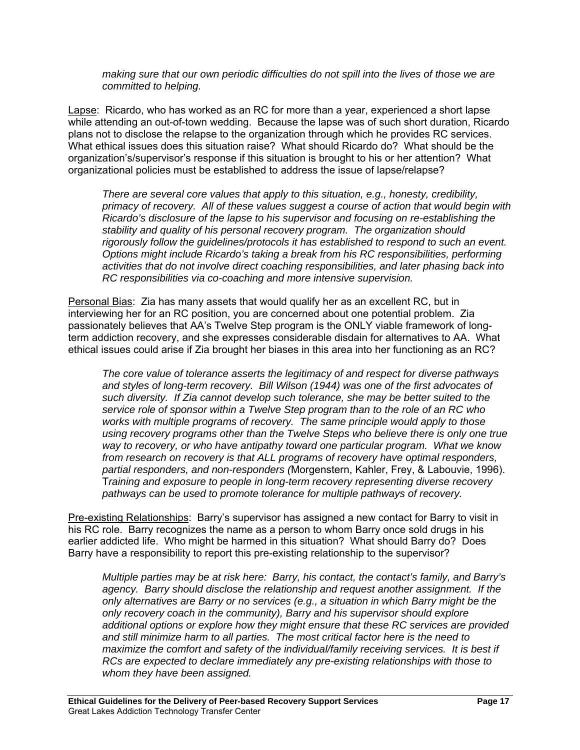*making sure that our own periodic difficulties do not spill into the lives of those we are committed to helping.* 

Lapse: Ricardo, who has worked as an RC for more than a year, experienced a short lapse while attending an out-of-town wedding. Because the lapse was of such short duration, Ricardo plans not to disclose the relapse to the organization through which he provides RC services. What ethical issues does this situation raise? What should Ricardo do? What should be the organization's/supervisor's response if this situation is brought to his or her attention? What organizational policies must be established to address the issue of lapse/relapse?

*There are several core values that apply to this situation, e.g., honesty, credibility, primacy of recovery. All of these values suggest a course of action that would begin with Ricardo's disclosure of the lapse to his supervisor and focusing on re-establishing the stability and quality of his personal recovery program. The organization should rigorously follow the guidelines/protocols it has established to respond to such an event. Options might include Ricardo's taking a break from his RC responsibilities, performing activities that do not involve direct coaching responsibilities, and later phasing back into RC responsibilities via co-coaching and more intensive supervision.* 

Personal Bias: Zia has many assets that would qualify her as an excellent RC, but in interviewing her for an RC position, you are concerned about one potential problem. Zia passionately believes that AA's Twelve Step program is the ONLY viable framework of longterm addiction recovery, and she expresses considerable disdain for alternatives to AA. What ethical issues could arise if Zia brought her biases in this area into her functioning as an RC?

*The core value of tolerance asserts the legitimacy of and respect for diverse pathways and styles of long-term recovery. Bill Wilson (1944) was one of the first advocates of such diversity. If Zia cannot develop such tolerance, she may be better suited to the service role of sponsor within a Twelve Step program than to the role of an RC who works with multiple programs of recovery. The same principle would apply to those using recovery programs other than the Twelve Steps who believe there is only one true way to recovery, or who have antipathy toward one particular program. What we know from research on recovery is that ALL programs of recovery have optimal responders, partial responders, and non-responders (*Morgenstern, Kahler, Frey, & Labouvie, 1996). T*raining and exposure to people in long-term recovery representing diverse recovery pathways can be used to promote tolerance for multiple pathways of recovery.* 

Pre-existing Relationships: Barry's supervisor has assigned a new contact for Barry to visit in his RC role. Barry recognizes the name as a person to whom Barry once sold drugs in his earlier addicted life. Who might be harmed in this situation? What should Barry do? Does Barry have a responsibility to report this pre-existing relationship to the supervisor?

*Multiple parties may be at risk here: Barry, his contact, the contact's family, and Barry's agency. Barry should disclose the relationship and request another assignment. If the only alternatives are Barry or no services (e.g., a situation in which Barry might be the only recovery coach in the community), Barry and his supervisor should explore additional options or explore how they might ensure that these RC services are provided and still minimize harm to all parties. The most critical factor here is the need to maximize the comfort and safety of the individual/family receiving services. It is best if RCs are expected to declare immediately any pre-existing relationships with those to whom they have been assigned.*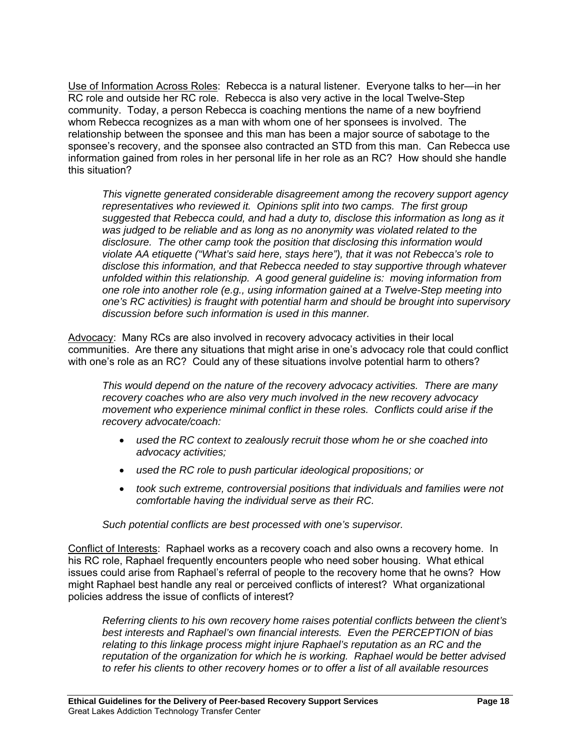Use of Information Across Roles: Rebecca is a natural listener. Everyone talks to her-in her RC role and outside her RC role. Rebecca is also very active in the local Twelve-Step community. Today, a person Rebecca is coaching mentions the name of a new boyfriend whom Rebecca recognizes as a man with whom one of her sponsees is involved. The relationship between the sponsee and this man has been a major source of sabotage to the sponsee's recovery, and the sponsee also contracted an STD from this man. Can Rebecca use information gained from roles in her personal life in her role as an RC? How should she handle this situation?

*This vignette generated considerable disagreement among the recovery support agency representatives who reviewed it. Opinions split into two camps. The first group suggested that Rebecca could, and had a duty to, disclose this information as long as it was judged to be reliable and as long as no anonymity was violated related to the disclosure. The other camp took the position that disclosing this information would violate AA etiquette ("What's said here, stays here"), that it was not Rebecca's role to disclose this information, and that Rebecca needed to stay supportive through whatever unfolded within this relationship. A good general guideline is: moving information from one role into another role (e.g., using information gained at a Twelve-Step meeting into one's RC activities) is fraught with potential harm and should be brought into supervisory discussion before such information is used in this manner.* 

Advocacy: Many RCs are also involved in recovery advocacy activities in their local communities. Are there any situations that might arise in one's advocacy role that could conflict with one's role as an RC? Could any of these situations involve potential harm to others?

*This would depend on the nature of the recovery advocacy activities. There are many recovery coaches who are also very much involved in the new recovery advocacy movement who experience minimal conflict in these roles. Conflicts could arise if the recovery advocate/coach:* 

- *used the RC context to zealously recruit those whom he or she coached into advocacy activities;*
- *used the RC role to push particular ideological propositions; or*
- *took such extreme, controversial positions that individuals and families were not comfortable having the individual serve as their RC.*

*Such potential conflicts are best processed with one's supervisor.* 

Conflict of Interests: Raphael works as a recovery coach and also owns a recovery home. In his RC role, Raphael frequently encounters people who need sober housing. What ethical issues could arise from Raphael's referral of people to the recovery home that he owns? How might Raphael best handle any real or perceived conflicts of interest? What organizational policies address the issue of conflicts of interest?

*Referring clients to his own recovery home raises potential conflicts between the client's best interests and Raphael's own financial interests. Even the PERCEPTION of bias relating to this linkage process might injure Raphael's reputation as an RC and the reputation of the organization for which he is working. Raphael would be better advised to refer his clients to other recovery homes or to offer a list of all available resources*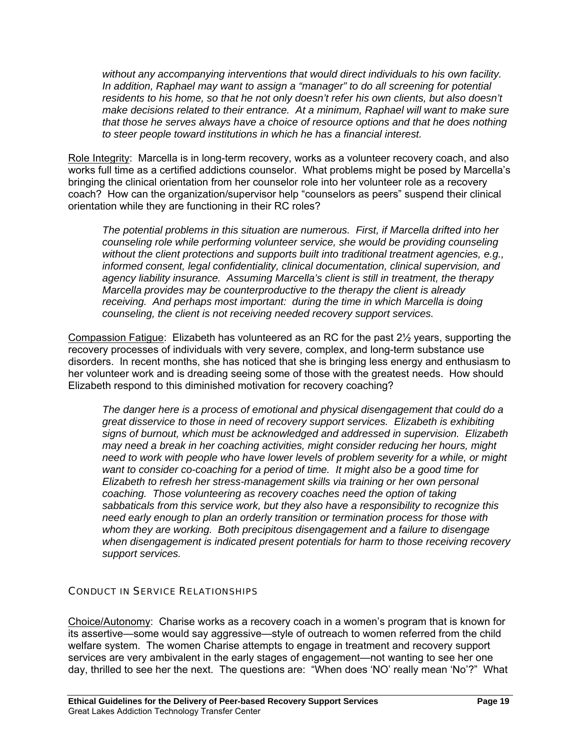*without any accompanying interventions that would direct individuals to his own facility. In addition, Raphael may want to assign a "manager" to do all screening for potential residents to his home, so that he not only doesn't refer his own clients, but also doesn't make decisions related to their entrance. At a minimum, Raphael will want to make sure that those he serves always have a choice of resource options and that he does nothing to steer people toward institutions in which he has a financial interest.* 

Role Integrity: Marcella is in long-term recovery, works as a volunteer recovery coach, and also works full time as a certified addictions counselor. What problems might be posed by Marcella's bringing the clinical orientation from her counselor role into her volunteer role as a recovery coach? How can the organization/supervisor help "counselors as peers" suspend their clinical orientation while they are functioning in their RC roles?

*The potential problems in this situation are numerous. First, if Marcella drifted into her counseling role while performing volunteer service, she would be providing counseling without the client protections and supports built into traditional treatment agencies, e.g., informed consent, legal confidentiality, clinical documentation, clinical supervision, and agency liability insurance. Assuming Marcella's client is still in treatment, the therapy Marcella provides may be counterproductive to the therapy the client is already receiving. And perhaps most important: during the time in which Marcella is doing counseling, the client is not receiving needed recovery support services.* 

Compassion Fatigue: Elizabeth has volunteered as an RC for the past 2½ years, supporting the recovery processes of individuals with very severe, complex, and long-term substance use disorders. In recent months, she has noticed that she is bringing less energy and enthusiasm to her volunteer work and is dreading seeing some of those with the greatest needs. How should Elizabeth respond to this diminished motivation for recovery coaching?

*The danger here is a process of emotional and physical disengagement that could do a great disservice to those in need of recovery support services. Elizabeth is exhibiting signs of burnout, which must be acknowledged and addressed in supervision. Elizabeth may need a break in her coaching activities, might consider reducing her hours, might need to work with people who have lower levels of problem severity for a while, or might want to consider co-coaching for a period of time. It might also be a good time for Elizabeth to refresh her stress-management skills via training or her own personal coaching. Those volunteering as recovery coaches need the option of taking sabbaticals from this service work, but they also have a responsibility to recognize this need early enough to plan an orderly transition or termination process for those with whom they are working. Both precipitous disengagement and a failure to disengage when disengagement is indicated present potentials for harm to those receiving recovery support services.* 

# CONDUCT IN SERVICE RELATIONSHIPS

Choice/Autonomy: Charise works as a recovery coach in a women's program that is known for its assertive—some would say aggressive—style of outreach to women referred from the child welfare system. The women Charise attempts to engage in treatment and recovery support services are very ambivalent in the early stages of engagement—not wanting to see her one day, thrilled to see her the next. The questions are: "When does 'NO' really mean 'No'?" What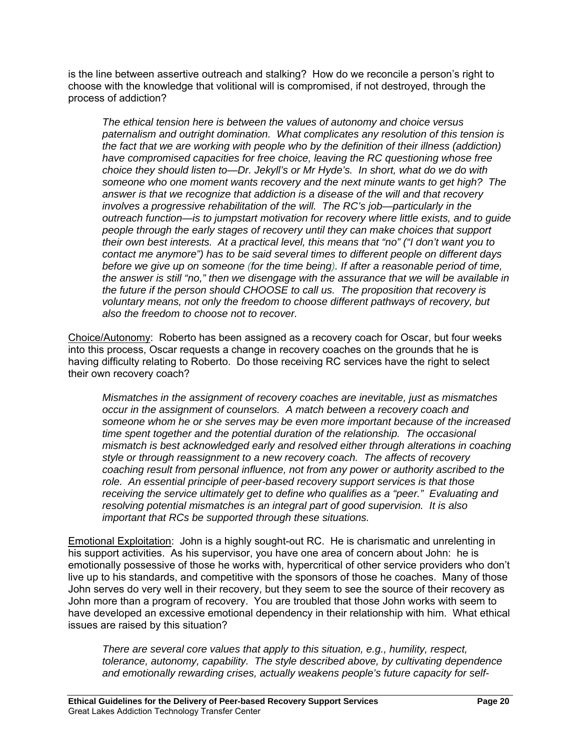is the line between assertive outreach and stalking? How do we reconcile a person's right to choose with the knowledge that volitional will is compromised, if not destroyed, through the process of addiction?

*The ethical tension here is between the values of autonomy and choice versus paternalism and outright domination. What complicates any resolution of this tension is the fact that we are working with people who by the definition of their illness (addiction) have compromised capacities for free choice, leaving the RC questioning whose free choice they should listen to—Dr. Jekyll's or Mr Hyde's. In short, what do we do with someone who one moment wants recovery and the next minute wants to get high? The answer is that we recognize that addiction is a disease of the will and that recovery involves a progressive rehabilitation of the will. The RC's job—particularly in the outreach function—is to jumpstart motivation for recovery where little exists, and to guide people through the early stages of recovery until they can make choices that support their own best interests. At a practical level, this means that "no" ("I don't want you to contact me anymore") has to be said several times to different people on different days before we give up on someone (for the time being). If after a reasonable period of time, the answer is still "no," then we disengage with the assurance that we will be available in the future if the person should CHOOSE to call us. The proposition that recovery is voluntary means, not only the freedom to choose different pathways of recovery, but also the freedom to choose not to recover.* 

Choice/Autonomy: Roberto has been assigned as a recovery coach for Oscar, but four weeks into this process, Oscar requests a change in recovery coaches on the grounds that he is having difficulty relating to Roberto. Do those receiving RC services have the right to select their own recovery coach?

*Mismatches in the assignment of recovery coaches are inevitable, just as mismatches occur in the assignment of counselors. A match between a recovery coach and someone whom he or she serves may be even more important because of the increased time spent together and the potential duration of the relationship. The occasional mismatch is best acknowledged early and resolved either through alterations in coaching style or through reassignment to a new recovery coach. The affects of recovery coaching result from personal influence, not from any power or authority ascribed to the role. An essential principle of peer-based recovery support services is that those receiving the service ultimately get to define who qualifies as a "peer." Evaluating and resolving potential mismatches is an integral part of good supervision. It is also important that RCs be supported through these situations.* 

Emotional Exploitation: John is a highly sought-out RC. He is charismatic and unrelenting in his support activities. As his supervisor, you have one area of concern about John: he is emotionally possessive of those he works with, hypercritical of other service providers who don't live up to his standards, and competitive with the sponsors of those he coaches. Many of those John serves do very well in their recovery, but they seem to see the source of their recovery as John more than a program of recovery. You are troubled that those John works with seem to have developed an excessive emotional dependency in their relationship with him. What ethical issues are raised by this situation?

*There are several core values that apply to this situation, e.g., humility, respect, tolerance, autonomy, capability. The style described above, by cultivating dependence and emotionally rewarding crises, actually weakens people's future capacity for self-*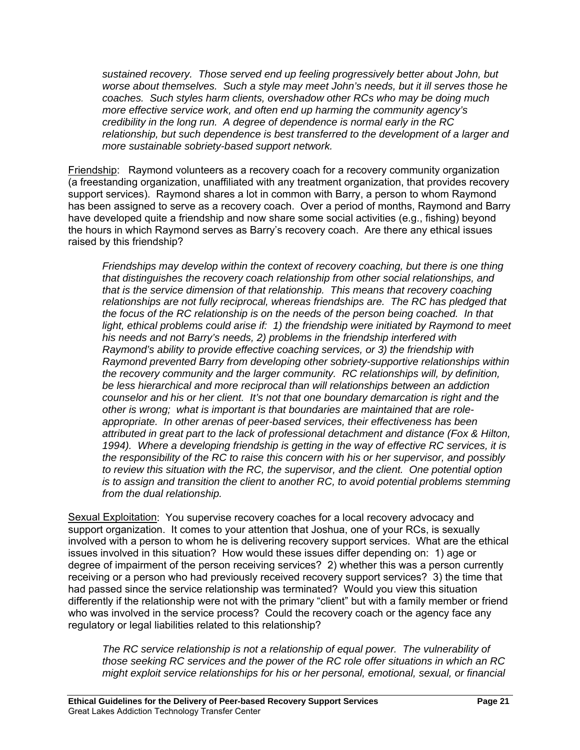*sustained recovery. Those served end up feeling progressively better about John, but worse about themselves. Such a style may meet John's needs, but it ill serves those he coaches. Such styles harm clients, overshadow other RCs who may be doing much more effective service work, and often end up harming the community agency's credibility in the long run. A degree of dependence is normal early in the RC relationship, but such dependence is best transferred to the development of a larger and more sustainable sobriety-based support network.* 

Friendship: Raymond volunteers as a recovery coach for a recovery community organization (a freestanding organization, unaffiliated with any treatment organization, that provides recovery support services). Raymond shares a lot in common with Barry, a person to whom Raymond has been assigned to serve as a recovery coach. Over a period of months, Raymond and Barry have developed quite a friendship and now share some social activities (e.g., fishing) beyond the hours in which Raymond serves as Barry's recovery coach. Are there any ethical issues raised by this friendship?

*Friendships may develop within the context of recovery coaching, but there is one thing that distinguishes the recovery coach relationship from other social relationships, and that is the service dimension of that relationship. This means that recovery coaching relationships are not fully reciprocal, whereas friendships are. The RC has pledged that the focus of the RC relationship is on the needs of the person being coached. In that*  light, ethical problems could arise if: 1) the friendship were initiated by Raymond to meet *his needs and not Barry's needs, 2) problems in the friendship interfered with Raymond's ability to provide effective coaching services, or 3) the friendship with Raymond prevented Barry from developing other sobriety-supportive relationships within the recovery community and the larger community. RC relationships will, by definition, be less hierarchical and more reciprocal than will relationships between an addiction counselor and his or her client. It's not that one boundary demarcation is right and the other is wrong; what is important is that boundaries are maintained that are roleappropriate. In other arenas of peer-based services, their effectiveness has been attributed in great part to the lack of professional detachment and distance (Fox & Hilton, 1994). Where a developing friendship is getting in the way of effective RC services, it is the responsibility of the RC to raise this concern with his or her supervisor, and possibly to review this situation with the RC, the supervisor, and the client. One potential option is to assign and transition the client to another RC, to avoid potential problems stemming from the dual relationship.* 

Sexual Exploitation: You supervise recovery coaches for a local recovery advocacy and support organization. It comes to your attention that Joshua, one of your RCs, is sexually involved with a person to whom he is delivering recovery support services. What are the ethical issues involved in this situation? How would these issues differ depending on: 1) age or degree of impairment of the person receiving services? 2) whether this was a person currently receiving or a person who had previously received recovery support services? 3) the time that had passed since the service relationship was terminated? Would you view this situation differently if the relationship were not with the primary "client" but with a family member or friend who was involved in the service process? Could the recovery coach or the agency face any regulatory or legal liabilities related to this relationship?

*The RC service relationship is not a relationship of equal power. The vulnerability of those seeking RC services and the power of the RC role offer situations in which an RC might exploit service relationships for his or her personal, emotional, sexual, or financial*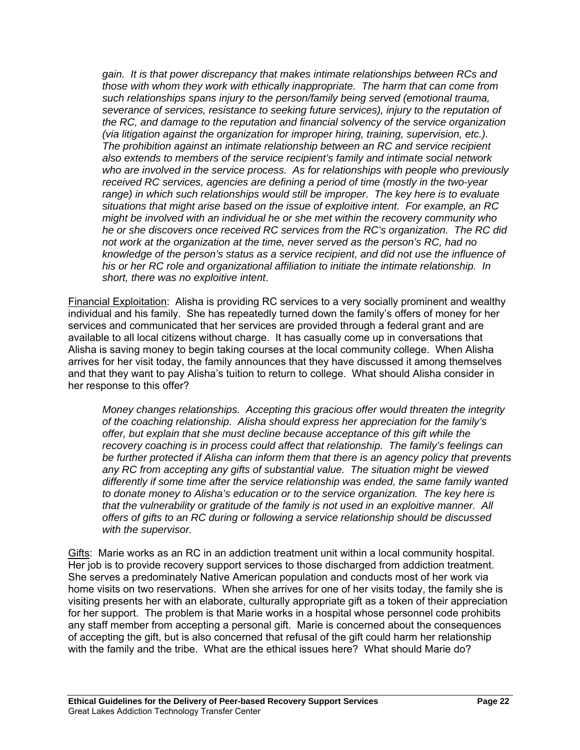*gain. It is that power discrepancy that makes intimate relationships between RCs and those with whom they work with ethically inappropriate. The harm that can come from such relationships spans injury to the person/family being served (emotional trauma, severance of services, resistance to seeking future services), injury to the reputation of the RC, and damage to the reputation and financial solvency of the service organization (via litigation against the organization for improper hiring, training, supervision, etc.). The prohibition against an intimate relationship between an RC and service recipient also extends to members of the service recipient's family and intimate social network who are involved in the service process. As for relationships with people who previously received RC services, agencies are defining a period of time (mostly in the two-year range) in which such relationships would still be improper. The key here is to evaluate situations that might arise based on the issue of exploitive intent. For example, an RC might be involved with an individual he or she met within the recovery community who he or she discovers once received RC services from the RC's organization. The RC did not work at the organization at the time, never served as the person's RC, had no knowledge of the person's status as a service recipient, and did not use the influence of his or her RC role and organizational affiliation to initiate the intimate relationship. In short, there was no exploitive intent*.

Financial Exploitation: Alisha is providing RC services to a very socially prominent and wealthy individual and his family. She has repeatedly turned down the family's offers of money for her services and communicated that her services are provided through a federal grant and are available to all local citizens without charge. It has casually come up in conversations that Alisha is saving money to begin taking courses at the local community college. When Alisha arrives for her visit today, the family announces that they have discussed it among themselves and that they want to pay Alisha's tuition to return to college. What should Alisha consider in her response to this offer?

*Money changes relationships. Accepting this gracious offer would threaten the integrity of the coaching relationship. Alisha should express her appreciation for the family's offer, but explain that she must decline because acceptance of this gift while the recovery coaching is in process could affect that relationship. The family's feelings can be further protected if Alisha can inform them that there is an agency policy that prevents any RC from accepting any gifts of substantial value. The situation might be viewed differently if some time after the service relationship was ended, the same family wanted to donate money to Alisha's education or to the service organization. The key here is that the vulnerability or gratitude of the family is not used in an exploitive manner. All offers of gifts to an RC during or following a service relationship should be discussed with the supervisor.* 

Gifts: Marie works as an RC in an addiction treatment unit within a local community hospital. Her job is to provide recovery support services to those discharged from addiction treatment. She serves a predominately Native American population and conducts most of her work via home visits on two reservations. When she arrives for one of her visits today, the family she is visiting presents her with an elaborate, culturally appropriate gift as a token of their appreciation for her support. The problem is that Marie works in a hospital whose personnel code prohibits any staff member from accepting a personal gift. Marie is concerned about the consequences of accepting the gift, but is also concerned that refusal of the gift could harm her relationship with the family and the tribe. What are the ethical issues here? What should Marie do?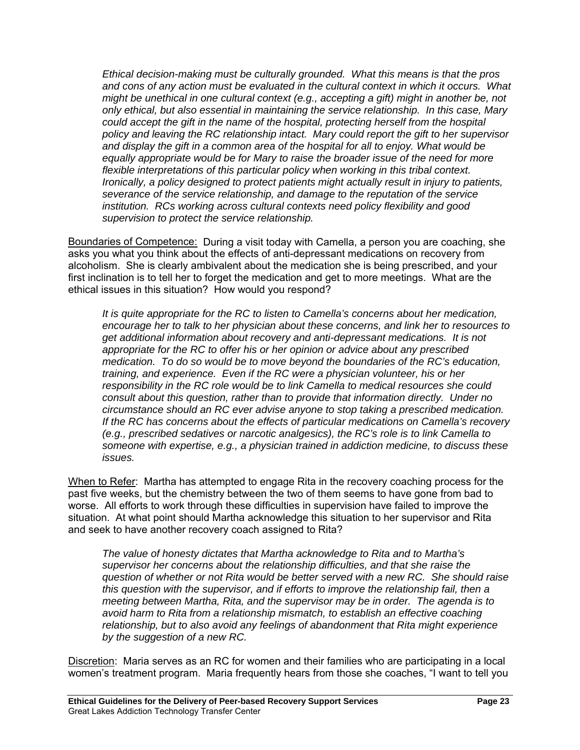*Ethical decision-making must be culturally grounded. What this means is that the pros and cons of any action must be evaluated in the cultural context in which it occurs. What might be unethical in one cultural context (e.g., accepting a gift) might in another be, not only ethical, but also essential in maintaining the service relationship. In this case, Mary could accept the gift in the name of the hospital, protecting herself from the hospital policy and leaving the RC relationship intact. Mary could report the gift to her supervisor and display the gift in a common area of the hospital for all to enjoy. What would be equally appropriate would be for Mary to raise the broader issue of the need for more flexible interpretations of this particular policy when working in this tribal context. Ironically, a policy designed to protect patients might actually result in injury to patients, severance of the service relationship, and damage to the reputation of the service institution. RCs working across cultural contexts need policy flexibility and good supervision to protect the service relationship.* 

Boundaries of Competence: During a visit today with Camella, a person you are coaching, she asks you what you think about the effects of anti-depressant medications on recovery from alcoholism. She is clearly ambivalent about the medication she is being prescribed, and your first inclination is to tell her to forget the medication and get to more meetings. What are the ethical issues in this situation? How would you respond?

*It is quite appropriate for the RC to listen to Camella's concerns about her medication, encourage her to talk to her physician about these concerns, and link her to resources to get additional information about recovery and anti-depressant medications. It is not appropriate for the RC to offer his or her opinion or advice about any prescribed medication. To do so would be to move beyond the boundaries of the RC's education, training, and experience. Even if the RC were a physician volunteer, his or her responsibility in the RC role would be to link Camella to medical resources she could consult about this question, rather than to provide that information directly. Under no circumstance should an RC ever advise anyone to stop taking a prescribed medication. If the RC has concerns about the effects of particular medications on Camella's recovery (e.g., prescribed sedatives or narcotic analgesics), the RC's role is to link Camella to someone with expertise, e.g., a physician trained in addiction medicine, to discuss these issues.* 

When to Refer: Martha has attempted to engage Rita in the recovery coaching process for the past five weeks, but the chemistry between the two of them seems to have gone from bad to worse. All efforts to work through these difficulties in supervision have failed to improve the situation. At what point should Martha acknowledge this situation to her supervisor and Rita and seek to have another recovery coach assigned to Rita?

*The value of honesty dictates that Martha acknowledge to Rita and to Martha's supervisor her concerns about the relationship difficulties, and that she raise the question of whether or not Rita would be better served with a new RC. She should raise this question with the supervisor, and if efforts to improve the relationship fail, then a meeting between Martha, Rita, and the supervisor may be in order. The agenda is to avoid harm to Rita from a relationship mismatch, to establish an effective coaching relationship, but to also avoid any feelings of abandonment that Rita might experience by the suggestion of a new RC.* 

Discretion: Maria serves as an RC for women and their families who are participating in a local women's treatment program. Maria frequently hears from those she coaches, "I want to tell you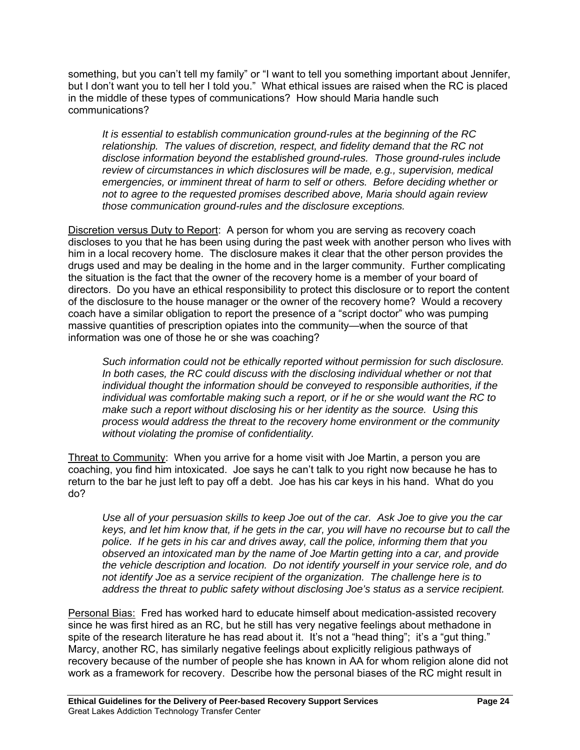something, but you can't tell my family" or "I want to tell you something important about Jennifer, but I don't want you to tell her I told you." What ethical issues are raised when the RC is placed in the middle of these types of communications? How should Maria handle such communications?

*It is essential to establish communication ground-rules at the beginning of the RC relationship. The values of discretion, respect, and fidelity demand that the RC not disclose information beyond the established ground-rules. Those ground-rules include review of circumstances in which disclosures will be made, e.g., supervision, medical emergencies, or imminent threat of harm to self or others. Before deciding whether or not to agree to the requested promises described above, Maria should again review those communication ground-rules and the disclosure exceptions.* 

Discretion versus Duty to Report: A person for whom you are serving as recovery coach discloses to you that he has been using during the past week with another person who lives with him in a local recovery home. The disclosure makes it clear that the other person provides the drugs used and may be dealing in the home and in the larger community. Further complicating the situation is the fact that the owner of the recovery home is a member of your board of directors. Do you have an ethical responsibility to protect this disclosure or to report the content of the disclosure to the house manager or the owner of the recovery home? Would a recovery coach have a similar obligation to report the presence of a "script doctor" who was pumping massive quantities of prescription opiates into the community—when the source of that information was one of those he or she was coaching?

*Such information could not be ethically reported without permission for such disclosure. In both cases, the RC could discuss with the disclosing individual whether or not that individual thought the information should be conveyed to responsible authorities, if the individual was comfortable making such a report, or if he or she would want the RC to make such a report without disclosing his or her identity as the source. Using this process would address the threat to the recovery home environment or the community without violating the promise of confidentiality.* 

Threat to Community: When you arrive for a home visit with Joe Martin, a person you are coaching, you find him intoxicated. Joe says he can't talk to you right now because he has to return to the bar he just left to pay off a debt. Joe has his car keys in his hand. What do you do?

*Use all of your persuasion skills to keep Joe out of the car. Ask Joe to give you the car keys, and let him know that, if he gets in the car, you will have no recourse but to call the police. If he gets in his car and drives away, call the police, informing them that you observed an intoxicated man by the name of Joe Martin getting into a car, and provide the vehicle description and location. Do not identify yourself in your service role, and do not identify Joe as a service recipient of the organization. The challenge here is to address the threat to public safety without disclosing Joe's status as a service recipient.* 

Personal Bias: Fred has worked hard to educate himself about medication-assisted recovery since he was first hired as an RC, but he still has very negative feelings about methadone in spite of the research literature he has read about it. It's not a "head thing"; it's a "gut thing." Marcy, another RC, has similarly negative feelings about explicitly religious pathways of recovery because of the number of people she has known in AA for whom religion alone did not work as a framework for recovery. Describe how the personal biases of the RC might result in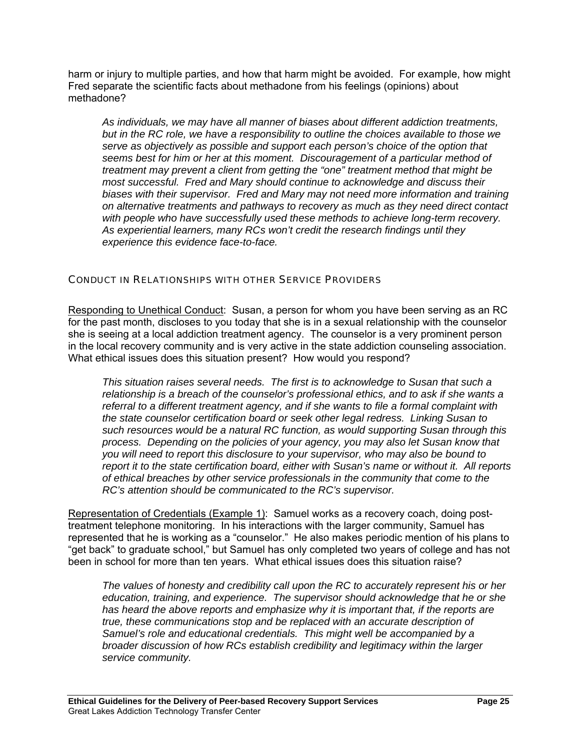harm or injury to multiple parties, and how that harm might be avoided. For example, how might Fred separate the scientific facts about methadone from his feelings (opinions) about methadone?

*As individuals, we may have all manner of biases about different addiction treatments, but in the RC role, we have a responsibility to outline the choices available to those we serve as objectively as possible and support each person's choice of the option that seems best for him or her at this moment. Discouragement of a particular method of treatment may prevent a client from getting the "one" treatment method that might be most successful. Fred and Mary should continue to acknowledge and discuss their biases with their supervisor. Fred and Mary may not need more information and training on alternative treatments and pathways to recovery as much as they need direct contact with people who have successfully used these methods to achieve long-term recovery. As experiential learners, many RCs won't credit the research findings until they experience this evidence face-to-face.* 

# CONDUCT IN RELATIONSHIPS WITH OTHER SERVICE PROVIDERS

Responding to Unethical Conduct: Susan, a person for whom you have been serving as an RC for the past month, discloses to you today that she is in a sexual relationship with the counselor she is seeing at a local addiction treatment agency. The counselor is a very prominent person in the local recovery community and is very active in the state addiction counseling association. What ethical issues does this situation present? How would you respond?

*This situation raises several needs. The first is to acknowledge to Susan that such a relationship is a breach of the counselor's professional ethics, and to ask if she wants a referral to a different treatment agency, and if she wants to file a formal complaint with the state counselor certification board or seek other legal redress. Linking Susan to such resources would be a natural RC function, as would supporting Susan through this process. Depending on the policies of your agency, you may also let Susan know that you will need to report this disclosure to your supervisor, who may also be bound to report it to the state certification board, either with Susan's name or without it. All reports of ethical breaches by other service professionals in the community that come to the RC's attention should be communicated to the RC's supervisor.* 

Representation of Credentials (Example 1): Samuel works as a recovery coach, doing posttreatment telephone monitoring. In his interactions with the larger community, Samuel has represented that he is working as a "counselor." He also makes periodic mention of his plans to "get back" to graduate school," but Samuel has only completed two years of college and has not been in school for more than ten years. What ethical issues does this situation raise?

*The values of honesty and credibility call upon the RC to accurately represent his or her education, training, and experience. The supervisor should acknowledge that he or she has heard the above reports and emphasize why it is important that, if the reports are true, these communications stop and be replaced with an accurate description of Samuel's role and educational credentials. This might well be accompanied by a broader discussion of how RCs establish credibility and legitimacy within the larger service community.*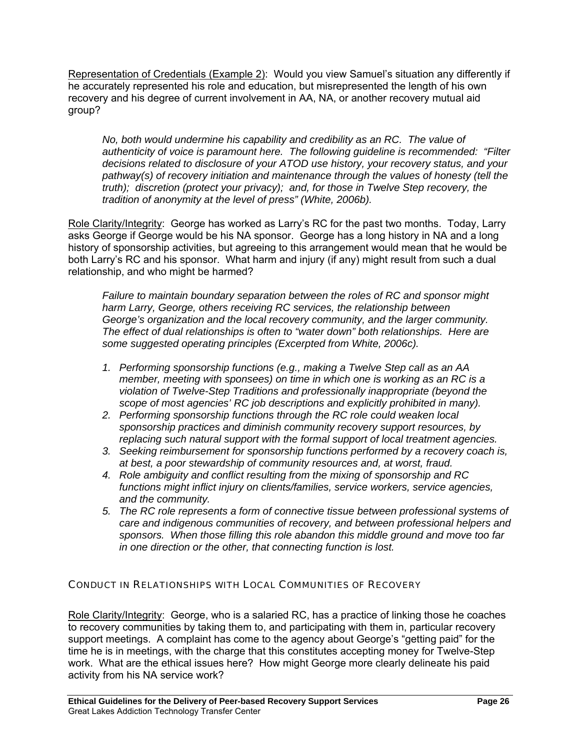Representation of Credentials (Example 2): Would you view Samuel's situation any differently if he accurately represented his role and education, but misrepresented the length of his own recovery and his degree of current involvement in AA, NA, or another recovery mutual aid group?

*No, both would undermine his capability and credibility as an RC. The value of authenticity of voice is paramount here. The following guideline is recommended: "Filter decisions related to disclosure of your ATOD use history, your recovery status, and your pathway(s) of recovery initiation and maintenance through the values of honesty (tell the truth); discretion (protect your privacy); and, for those in Twelve Step recovery, the tradition of anonymity at the level of press" (White, 2006b).* 

Role Clarity/Integrity: George has worked as Larry's RC for the past two months. Today, Larry asks George if George would be his NA sponsor. George has a long history in NA and a long history of sponsorship activities, but agreeing to this arrangement would mean that he would be both Larry's RC and his sponsor. What harm and injury (if any) might result from such a dual relationship, and who might be harmed?

*Failure to maintain boundary separation between the roles of RC and sponsor might harm Larry, George, others receiving RC services, the relationship between George's organization and the local recovery community, and the larger community. The effect of dual relationships is often to "water down" both relationships. Here are some suggested operating principles (Excerpted from White, 2006c).* 

- *1. Performing sponsorship functions (e.g., making a Twelve Step call as an AA member, meeting with sponsees) on time in which one is working as an RC is a violation of Twelve-Step Traditions and professionally inappropriate (beyond the scope of most agencies' RC job descriptions and explicitly prohibited in many).*
- 2. Performing sponsorship functions through the RC role could weaken local *sponsorship practices and diminish community recovery support resources, by replacing such natural support with the formal support of local treatment agencies.*
- *3. Seeking reimbursement for sponsorship functions performed by a recovery coach is, at best, a poor stewardship of community resources and, at worst, fraud.*
- *4. Role ambiguity and conflict resulting from the mixing of sponsorship and RC functions might inflict injury on clients/families, service workers, service agencies, and the community.*
- *5. The RC role represents a form of connective tissue between professional systems of care and indigenous communities of recovery, and between professional helpers and sponsors. When those filling this role abandon this middle ground and move too far in one direction or the other, that connecting function is lost.*

# CONDUCT IN RELATIONSHIPS WITH LOCAL COMMUNITIES OF RECOVERY

Role Clarity/Integrity: George, who is a salaried RC, has a practice of linking those he coaches to recovery communities by taking them to, and participating with them in, particular recovery support meetings. A complaint has come to the agency about George's "getting paid" for the time he is in meetings, with the charge that this constitutes accepting money for Twelve-Step work. What are the ethical issues here? How might George more clearly delineate his paid activity from his NA service work?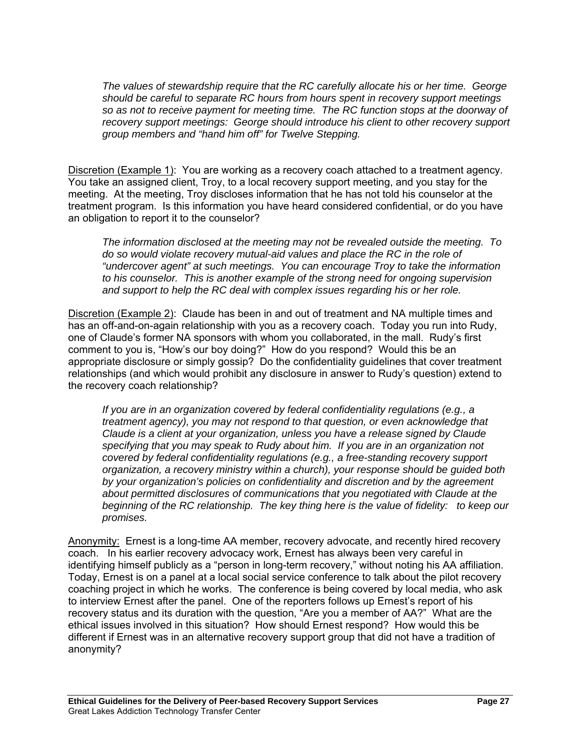*The values of stewardship require that the RC carefully allocate his or her time. George should be careful to separate RC hours from hours spent in recovery support meetings so as not to receive payment for meeting time. The RC function stops at the doorway of recovery support meetings: George should introduce his client to other recovery support group members and "hand him off" for Twelve Stepping.* 

Discretion (Example 1): You are working as a recovery coach attached to a treatment agency. You take an assigned client, Troy, to a local recovery support meeting, and you stay for the meeting. At the meeting, Troy discloses information that he has not told his counselor at the treatment program. Is this information you have heard considered confidential, or do you have an obligation to report it to the counselor?

*The information disclosed at the meeting may not be revealed outside the meeting. To do so would violate recovery mutual-aid values and place the RC in the role of "undercover agent" at such meetings. You can encourage Troy to take the information to his counselor. This is another example of the strong need for ongoing supervision and support to help the RC deal with complex issues regarding his or her role.* 

Discretion (Example 2): Claude has been in and out of treatment and NA multiple times and has an off-and-on-again relationship with you as a recovery coach. Today you run into Rudy, one of Claude's former NA sponsors with whom you collaborated, in the mall. Rudy's first comment to you is, "How's our boy doing?" How do you respond? Would this be an appropriate disclosure or simply gossip? Do the confidentiality guidelines that cover treatment relationships (and which would prohibit any disclosure in answer to Rudy's question) extend to the recovery coach relationship?

*If you are in an organization covered by federal confidentiality regulations (e.g., a treatment agency), you may not respond to that question, or even acknowledge that Claude is a client at your organization, unless you have a release signed by Claude specifying that you may speak to Rudy about him. If you are in an organization not covered by federal confidentiality regulations (e.g., a free-standing recovery support organization, a recovery ministry within a church), your response should be guided both by your organization's policies on confidentiality and discretion and by the agreement about permitted disclosures of communications that you negotiated with Claude at the beginning of the RC relationship. The key thing here is the value of fidelity: to keep our promises.* 

Anonymity: Ernest is a long-time AA member, recovery advocate, and recently hired recovery coach. In his earlier recovery advocacy work, Ernest has always been very careful in identifying himself publicly as a "person in long-term recovery," without noting his AA affiliation. Today, Ernest is on a panel at a local social service conference to talk about the pilot recovery coaching project in which he works. The conference is being covered by local media, who ask to interview Ernest after the panel. One of the reporters follows up Ernest's report of his recovery status and its duration with the question, "Are you a member of AA?" What are the ethical issues involved in this situation? How should Ernest respond? How would this be different if Ernest was in an alternative recovery support group that did not have a tradition of anonymity?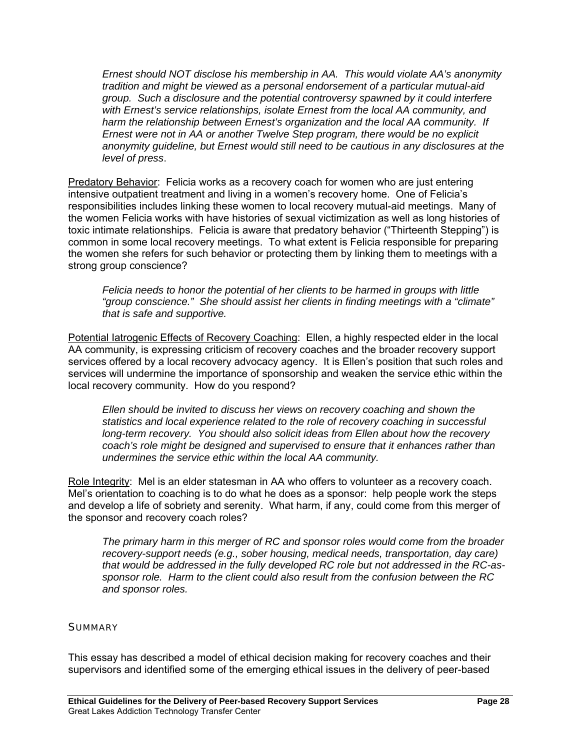*Ernest should NOT disclose his membership in AA. This would violate AA's anonymity tradition and might be viewed as a personal endorsement of a particular mutual-aid group. Such a disclosure and the potential controversy spawned by it could interfere with Ernest's service relationships, isolate Ernest from the local AA community, and harm the relationship between Ernest's organization and the local AA community. If Ernest were not in AA or another Twelve Step program, there would be no explicit anonymity guideline, but Ernest would still need to be cautious in any disclosures at the level of press*.

Predatory Behavior: Felicia works as a recovery coach for women who are just entering intensive outpatient treatment and living in a women's recovery home. One of Felicia's responsibilities includes linking these women to local recovery mutual-aid meetings. Many of the women Felicia works with have histories of sexual victimization as well as long histories of toxic intimate relationships. Felicia is aware that predatory behavior ("Thirteenth Stepping") is common in some local recovery meetings. To what extent is Felicia responsible for preparing the women she refers for such behavior or protecting them by linking them to meetings with a strong group conscience?

*Felicia needs to honor the potential of her clients to be harmed in groups with little "group conscience." She should assist her clients in finding meetings with a "climate" that is safe and supportive.* 

Potential latrogenic Effects of Recovery Coaching: Ellen, a highly respected elder in the local AA community, is expressing criticism of recovery coaches and the broader recovery support services offered by a local recovery advocacy agency. It is Ellen's position that such roles and services will undermine the importance of sponsorship and weaken the service ethic within the local recovery community. How do you respond?

*Ellen should be invited to discuss her views on recovery coaching and shown the statistics and local experience related to the role of recovery coaching in successful long-term recovery. You should also solicit ideas from Ellen about how the recovery coach's role might be designed and supervised to ensure that it enhances rather than undermines the service ethic within the local AA community.* 

Role Integrity: Mel is an elder statesman in AA who offers to volunteer as a recovery coach. Mel's orientation to coaching is to do what he does as a sponsor: help people work the steps and develop a life of sobriety and serenity. What harm, if any, could come from this merger of the sponsor and recovery coach roles?

*The primary harm in this merger of RC and sponsor roles would come from the broader recovery-support needs (e.g., sober housing, medical needs, transportation, day care) that would be addressed in the fully developed RC role but not addressed in the RC-assponsor role. Harm to the client could also result from the confusion between the RC and sponsor roles.* 

# **SUMMARY**

This essay has described a model of ethical decision making for recovery coaches and their supervisors and identified some of the emerging ethical issues in the delivery of peer-based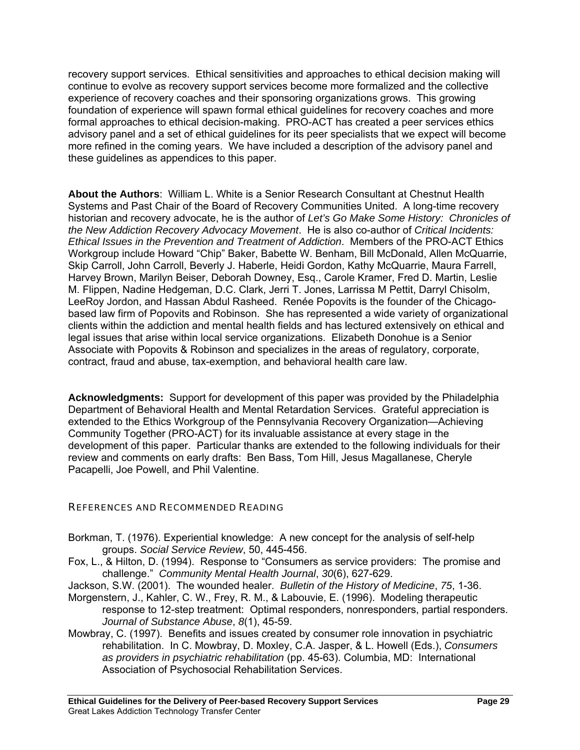recovery support services. Ethical sensitivities and approaches to ethical decision making will continue to evolve as recovery support services become more formalized and the collective experience of recovery coaches and their sponsoring organizations grows. This growing foundation of experience will spawn formal ethical guidelines for recovery coaches and more formal approaches to ethical decision-making. PRO-ACT has created a peer services ethics advisory panel and a set of ethical guidelines for its peer specialists that we expect will become more refined in the coming years. We have included a description of the advisory panel and these guidelines as appendices to this paper.

**About the Authors**: William L. White is a Senior Research Consultant at Chestnut Health Systems and Past Chair of the Board of Recovery Communities United. A long-time recovery historian and recovery advocate, he is the author of *Let's Go Make Some History: Chronicles of the New Addiction Recovery Advocacy Movement*. He is also co-author of *Critical Incidents: Ethical Issues in the Prevention and Treatment of Addiction*. Members of the PRO-ACT Ethics Workgroup include Howard "Chip" Baker, Babette W. Benham, Bill McDonald, Allen McQuarrie, Skip Carroll, John Carroll, Beverly J. Haberle, Heidi Gordon, Kathy McQuarrie, Maura Farrell, Harvey Brown, Marilyn Beiser, Deborah Downey, Esq., Carole Kramer, Fred D. Martin, Leslie M. Flippen, Nadine Hedgeman, D.C. Clark, Jerri T. Jones, Larrissa M Pettit, Darryl Chisolm, LeeRoy Jordon, and Hassan Abdul Rasheed. Renée Popovits is the founder of the Chicagobased law firm of Popovits and Robinson. She has represented a wide variety of organizational clients within the addiction and mental health fields and has lectured extensively on ethical and legal issues that arise within local service organizations. Elizabeth Donohue is a Senior Associate with Popovits & Robinson and specializes in the areas of regulatory, corporate, contract, fraud and abuse, tax-exemption, and behavioral health care law.

**Acknowledgments:** Support for development of this paper was provided by the Philadelphia Department of Behavioral Health and Mental Retardation Services. Grateful appreciation is extended to the Ethics Workgroup of the Pennsylvania Recovery Organization—Achieving Community Together (PRO-ACT) for its invaluable assistance at every stage in the development of this paper. Particular thanks are extended to the following individuals for their review and comments on early drafts: Ben Bass, Tom Hill, Jesus Magallanese, Cheryle Pacapelli, Joe Powell, and Phil Valentine.

# REFERENCES AND RECOMMENDED READING

- Borkman, T. (1976). Experiential knowledge: A new concept for the analysis of self-help groups. *Social Service Review*, 50, 445-456.
- Fox, L., & Hilton, D. (1994). Response to "Consumers as service providers: The promise and challenge." *Community Mental Health Journal*, *30*(6), 627-629.

Jackson, S.W. (2001). The wounded healer. *Bulletin of the History of Medicine*, *75*, 1-36.

- Morgenstern, J., Kahler, C. W., Frey, R. M., & Labouvie, E. (1996). Modeling therapeutic response to 12-step treatment: Optimal responders, nonresponders, partial responders. *Journal of Substance Abuse*, *8*(1), 45-59.
- Mowbray, C. (1997). Benefits and issues created by consumer role innovation in psychiatric rehabilitation. In C. Mowbray, D. Moxley, C.A. Jasper, & L. Howell (Eds.), *Consumers as providers in psychiatric rehabilitation* (pp. 45-63). Columbia, MD: International Association of Psychosocial Rehabilitation Services.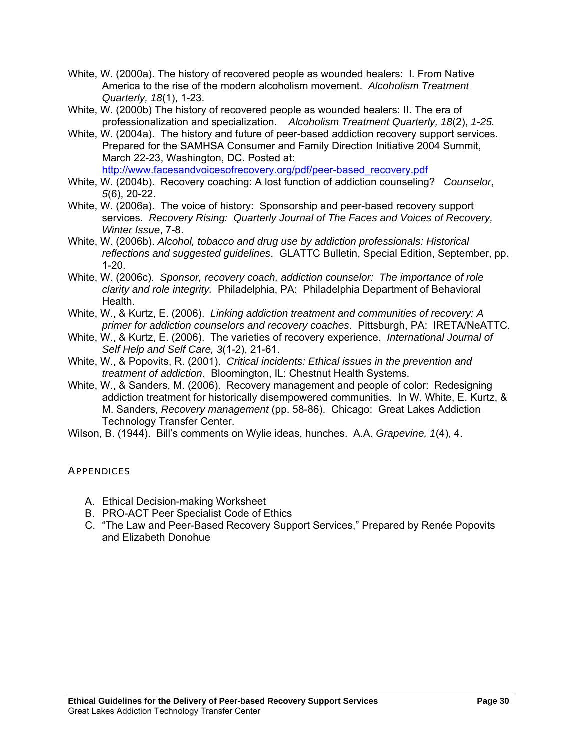- White, W. (2000a). The history of recovered people as wounded healers: I. From Native America to the rise of the modern alcoholism movement. *Alcoholism Treatment Quarterly, 18*(1), 1-23.
- White, W. (2000b) The history of recovered people as wounded healers: II. The era of professionalization and specialization. *Alcoholism Treatment Quarterly, 18*(2), *1-25.*
- White, W. (2004a). The history and future of peer-based addiction recovery support services. Prepared for the SAMHSA Consumer and Family Direction Initiative 2004 Summit, March 22-23, Washington, DC. Posted at: [http://www.facesandvoicesofrecovery.org/pdf/peer-based\\_recovery.pdf](http://www.facesandvoicesofrecovery.org/pdf/peer-based_recovery.pdf)
- White, W. (2004b). Recovery coaching: A lost function of addiction counseling? *Counselor*, *5*(6), 20-22.
- White, W. (2006a). The voice of history: Sponsorship and peer-based recovery support services. *Recovery Rising: Quarterly Journal of The Faces and Voices of Recovery, Winter Issue*, 7-8.
- White, W. (2006b). *Alcohol, tobacco and drug use by addiction professionals: Historical reflections and suggested guidelines*. GLATTC Bulletin, Special Edition, September, pp. 1-20.
- White, W. (2006c). *Sponsor, recovery coach, addiction counselor: The importance of role clarity and role integrity.* Philadelphia, PA: Philadelphia Department of Behavioral Health.
- White, W., & Kurtz, E. (2006). *Linking addiction treatment and communities of recovery: A primer for addiction counselors and recovery coaches*. Pittsburgh, PA: IRETA/NeATTC.
- White, W., & Kurtz, E. (2006). The varieties of recovery experience. *International Journal of Self Help and Self Care, 3*(1-2), 21-61.
- White, W., & Popovits, R. (2001). *Critical incidents: Ethical issues in the prevention and treatment of addiction*. Bloomington, IL: Chestnut Health Systems.
- White, W., & Sanders, M. (2006). Recovery management and people of color: Redesigning addiction treatment for historically disempowered communities. In W. White, E. Kurtz, & M. Sanders, *Recovery management* (pp. 58-86). Chicago: Great Lakes Addiction Technology Transfer Center.
- Wilson, B. (1944). Bill's comments on Wylie ideas, hunches. A.A. *Grapevine, 1*(4), 4.

# **APPENDICES**

- A. Ethical Decision-making Worksheet
- B. PRO-ACT Peer Specialist Code of Ethics
- C. "The Law and Peer-Based Recovery Support Services," Prepared by Renée Popovits and Elizabeth Donohue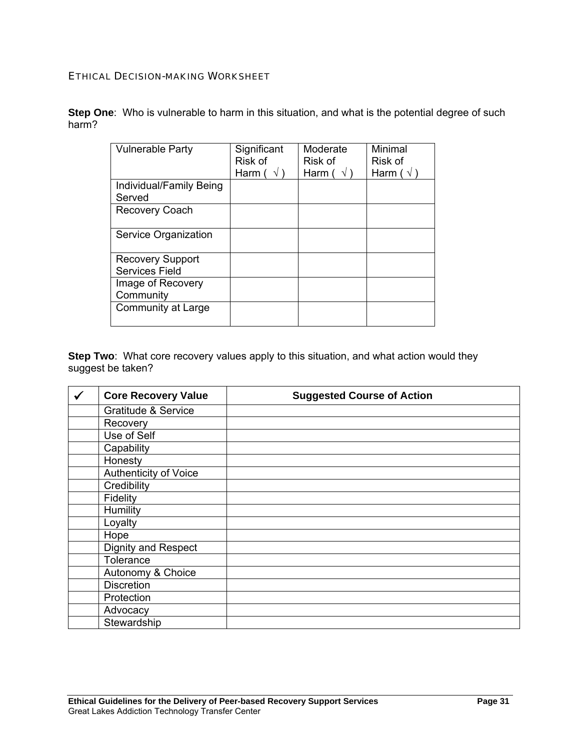# ETHICAL DECISION-MAKING WORKSHEET

**Step One**: Who is vulnerable to harm in this situation, and what is the potential degree of such harm?

| <b>Vulnerable Party</b>                   | Significant<br>Risk of<br>Harm ( | Moderate<br>Risk of<br>Harm ( | Minimal<br>Risk of<br>Harm ( $\sqrt{}$ |
|-------------------------------------------|----------------------------------|-------------------------------|----------------------------------------|
| Individual/Family Being<br>Served         |                                  |                               |                                        |
| <b>Recovery Coach</b>                     |                                  |                               |                                        |
| Service Organization                      |                                  |                               |                                        |
| <b>Recovery Support</b><br>Services Field |                                  |                               |                                        |
| Image of Recovery<br>Community            |                                  |                               |                                        |
| Community at Large                        |                                  |                               |                                        |

**Step Two**: What core recovery values apply to this situation, and what action would they suggest be taken?

| $\checkmark$ | <b>Core Recovery Value</b>     | <b>Suggested Course of Action</b> |
|--------------|--------------------------------|-----------------------------------|
|              | <b>Gratitude &amp; Service</b> |                                   |
|              | Recovery                       |                                   |
|              | Use of Self                    |                                   |
|              | Capability                     |                                   |
|              | Honesty                        |                                   |
|              | Authenticity of Voice          |                                   |
|              | Credibility                    |                                   |
|              | Fidelity                       |                                   |
|              | Humility                       |                                   |
|              | Loyalty                        |                                   |
|              | Hope                           |                                   |
|              | <b>Dignity and Respect</b>     |                                   |
|              | Tolerance                      |                                   |
|              | Autonomy & Choice              |                                   |
|              | <b>Discretion</b>              |                                   |
|              | Protection                     |                                   |
|              | Advocacy                       |                                   |
|              | Stewardship                    |                                   |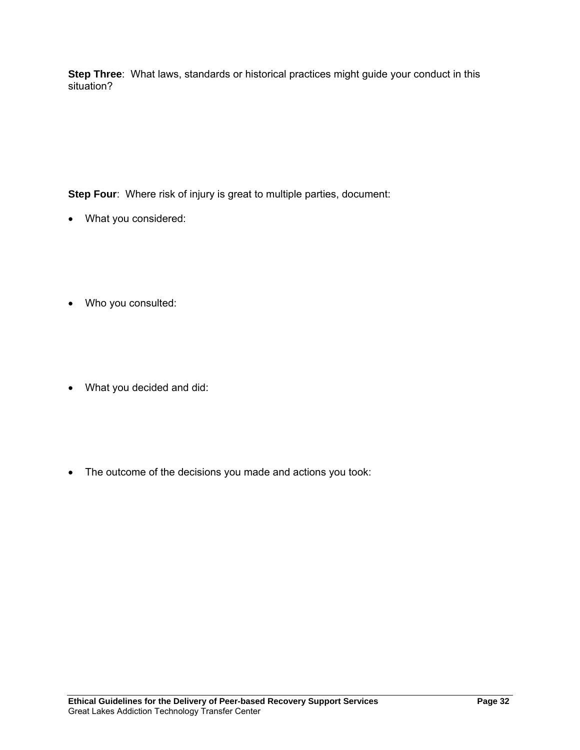**Step Three**: What laws, standards or historical practices might guide your conduct in this situation?

**Step Four:** Where risk of injury is great to multiple parties, document:

- What you considered:
- Who you consulted:
- What you decided and did:
- The outcome of the decisions you made and actions you took: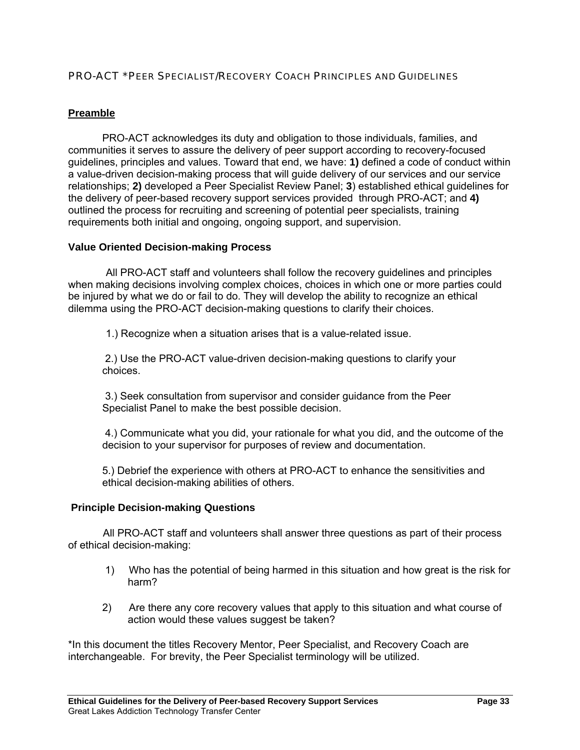# PRO-ACT \*PEER SPECIALIST/RECOVERY COACH PRINCIPLES AND GUIDELINES

# **Preamble**

PRO-ACT acknowledges its duty and obligation to those individuals, families, and communities it serves to assure the delivery of peer support according to recovery-focused guidelines, principles and values. Toward that end, we have: **1)** defined a code of conduct within a value-driven decision-making process that will guide delivery of our services and our service relationships; **2)** developed a Peer Specialist Review Panel; **3**) established ethical guidelines for the delivery of peer-based recovery support services provided through PRO-ACT; and **4)** outlined the process for recruiting and screening of potential peer specialists, training requirements both initial and ongoing, ongoing support, and supervision.

## **Value Oriented Decision-making Process**

 All PRO-ACT staff and volunteers shall follow the recovery guidelines and principles when making decisions involving complex choices, choices in which one or more parties could be injured by what we do or fail to do. They will develop the ability to recognize an ethical dilemma using the PRO-ACT decision-making questions to clarify their choices.

1.) Recognize when a situation arises that is a value-related issue.

 2.) Use the PRO-ACT value-driven decision-making questions to clarify your choices.

 3.) Seek consultation from supervisor and consider guidance from the Peer Specialist Panel to make the best possible decision.

 4.) Communicate what you did, your rationale for what you did, and the outcome of the decision to your supervisor for purposes of review and documentation.

5.) Debrief the experience with others at PRO-ACT to enhance the sensitivities and ethical decision-making abilities of others.

# **Principle Decision-making Questions**

 All PRO-ACT staff and volunteers shall answer three questions as part of their process of ethical decision-making:

- 1) Who has the potential of being harmed in this situation and how great is the risk for harm?
- 2) Are there any core recovery values that apply to this situation and what course of action would these values suggest be taken?

\*In this document the titles Recovery Mentor, Peer Specialist, and Recovery Coach are interchangeable. For brevity, the Peer Specialist terminology will be utilized.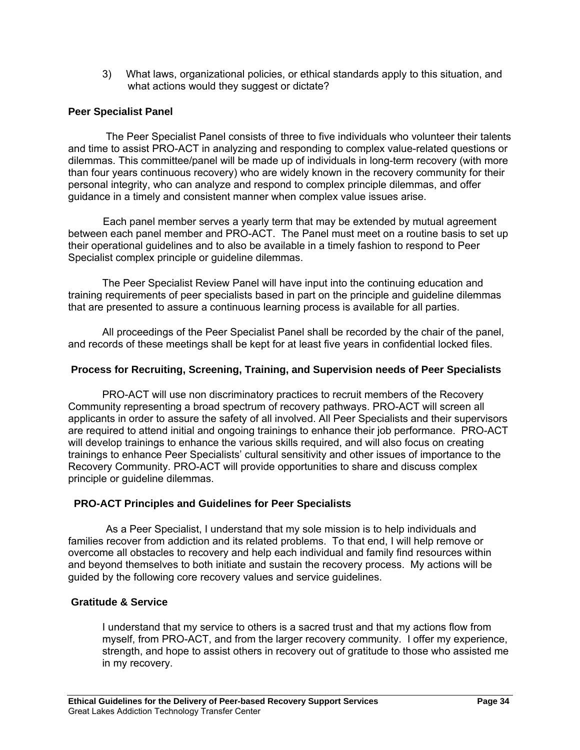3) What laws, organizational policies, or ethical standards apply to this situation, and what actions would they suggest or dictate?

# **Peer Specialist Panel**

 The Peer Specialist Panel consists of three to five individuals who volunteer their talents and time to assist PRO-ACT in analyzing and responding to complex value-related questions or dilemmas. This committee/panel will be made up of individuals in long-term recovery (with more than four years continuous recovery) who are widely known in the recovery community for their personal integrity, who can analyze and respond to complex principle dilemmas, and offer guidance in a timely and consistent manner when complex value issues arise.

 Each panel member serves a yearly term that may be extended by mutual agreement between each panel member and PRO-ACT. The Panel must meet on a routine basis to set up their operational guidelines and to also be available in a timely fashion to respond to Peer Specialist complex principle or guideline dilemmas.

 The Peer Specialist Review Panel will have input into the continuing education and training requirements of peer specialists based in part on the principle and guideline dilemmas that are presented to assure a continuous learning process is available for all parties.

All proceedings of the Peer Specialist Panel shall be recorded by the chair of the panel, and records of these meetings shall be kept for at least five years in confidential locked files.

# **Process for Recruiting, Screening, Training, and Supervision needs of Peer Specialists**

 PRO-ACT will use non discriminatory practices to recruit members of the Recovery Community representing a broad spectrum of recovery pathways. PRO-ACT will screen all applicants in order to assure the safety of all involved. All Peer Specialists and their supervisors are required to attend initial and ongoing trainings to enhance their job performance. PRO-ACT will develop trainings to enhance the various skills required, and will also focus on creating trainings to enhance Peer Specialists' cultural sensitivity and other issues of importance to the Recovery Community. PRO-ACT will provide opportunities to share and discuss complex principle or guideline dilemmas.

# **PRO-ACT Principles and Guidelines for Peer Specialists**

 As a Peer Specialist, I understand that my sole mission is to help individuals and families recover from addiction and its related problems. To that end, I will help remove or overcome all obstacles to recovery and help each individual and family find resources within and beyond themselves to both initiate and sustain the recovery process. My actions will be guided by the following core recovery values and service guidelines.

# **Gratitude & Service**

I understand that my service to others is a sacred trust and that my actions flow from myself, from PRO-ACT, and from the larger recovery community. I offer my experience, strength, and hope to assist others in recovery out of gratitude to those who assisted me in my recovery.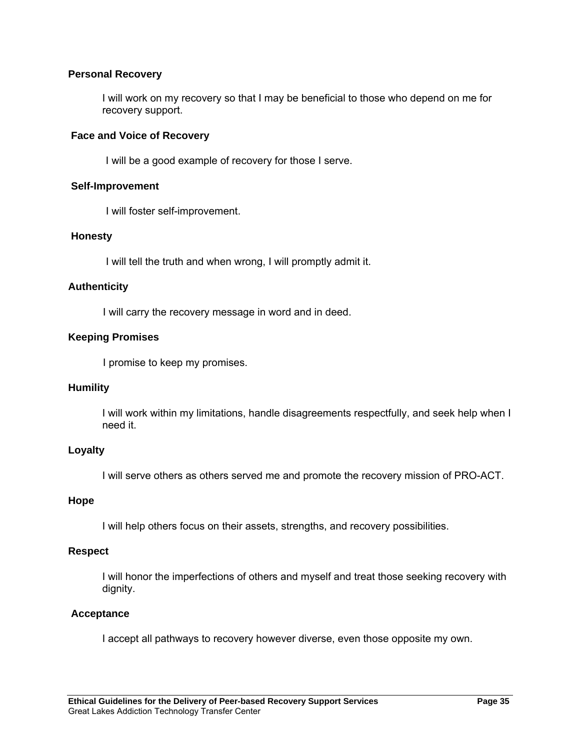# **Personal Recovery**

I will work on my recovery so that I may be beneficial to those who depend on me for recovery support.

## **Face and Voice of Recovery**

I will be a good example of recovery for those I serve.

#### **Self-Improvement**

I will foster self-improvement.

#### **Honesty**

I will tell the truth and when wrong, I will promptly admit it.

#### **Authenticity**

I will carry the recovery message in word and in deed.

#### **Keeping Promises**

I promise to keep my promises.

## **Humility**

I will work within my limitations, handle disagreements respectfully, and seek help when I need it.

#### **Loyalty**

I will serve others as others served me and promote the recovery mission of PRO-ACT.

#### **Hope**

I will help others focus on their assets, strengths, and recovery possibilities.

#### **Respect**

I will honor the imperfections of others and myself and treat those seeking recovery with dignity.

#### **Acceptance**

I accept all pathways to recovery however diverse, even those opposite my own.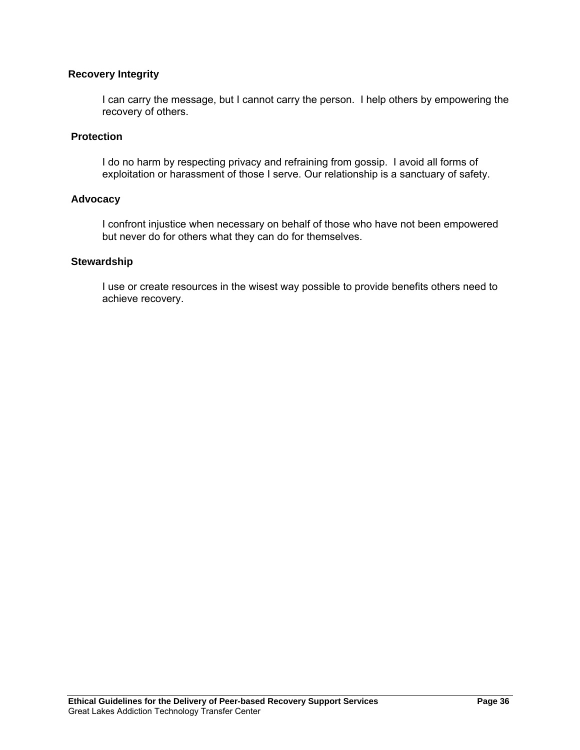# **Recovery Integrity**

 I can carry the message, but I cannot carry the person. I help others by empowering the recovery of others.

# **Protection**

I do no harm by respecting privacy and refraining from gossip. I avoid all forms of exploitation or harassment of those I serve. Our relationship is a sanctuary of safety.

## **Advocacy**

 I confront injustice when necessary on behalf of those who have not been empowered but never do for others what they can do for themselves.

#### **Stewardship**

I use or create resources in the wisest way possible to provide benefits others need to achieve recovery.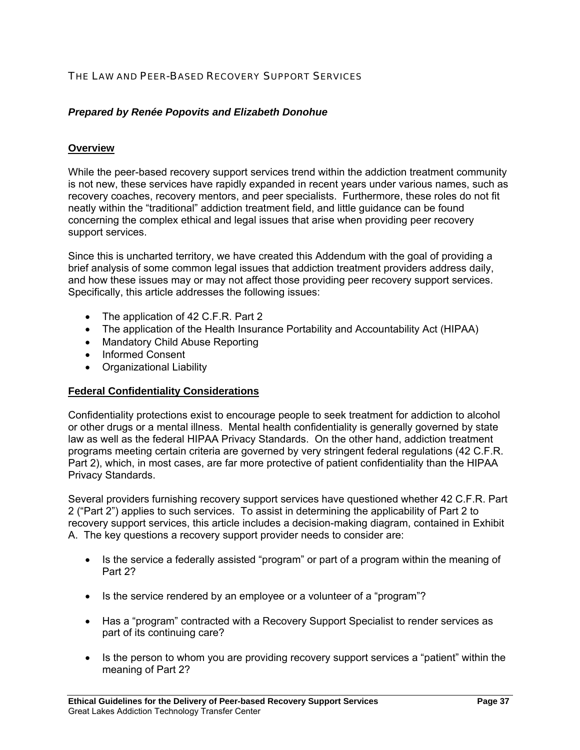# THE LAW AND PEER-BASED RECOVERY SUPPORT SERVICES

# *Prepared by Renée Popovits and Elizabeth Donohue*

## **Overview**

While the peer-based recovery support services trend within the addiction treatment community is not new, these services have rapidly expanded in recent years under various names, such as recovery coaches, recovery mentors, and peer specialists. Furthermore, these roles do not fit neatly within the "traditional" addiction treatment field, and little guidance can be found concerning the complex ethical and legal issues that arise when providing peer recovery support services.

Since this is uncharted territory, we have created this Addendum with the goal of providing a brief analysis of some common legal issues that addiction treatment providers address daily, and how these issues may or may not affect those providing peer recovery support services. Specifically, this article addresses the following issues:

- The application of 42 C.F.R. Part 2
- The application of the Health Insurance Portability and Accountability Act (HIPAA)
- Mandatory Child Abuse Reporting
- Informed Consent
- Organizational Liability

#### **Federal Confidentiality Considerations**

Confidentiality protections exist to encourage people to seek treatment for addiction to alcohol or other drugs or a mental illness. Mental health confidentiality is generally governed by state law as well as the federal HIPAA Privacy Standards. On the other hand, addiction treatment programs meeting certain criteria are governed by very stringent federal regulations (42 C.F.R. Part 2), which, in most cases, are far more protective of patient confidentiality than the HIPAA Privacy Standards.

Several providers furnishing recovery support services have questioned whether 42 C.F.R. Part 2 ("Part 2") applies to such services. To assist in determining the applicability of Part 2 to recovery support services, this article includes a decision-making diagram, contained in Exhibit A. The key questions a recovery support provider needs to consider are:

- Is the service a federally assisted "program" or part of a program within the meaning of Part 2?
- Is the service rendered by an employee or a volunteer of a "program"?
- Has a "program" contracted with a Recovery Support Specialist to render services as part of its continuing care?
- Is the person to whom you are providing recovery support services a "patient" within the meaning of Part 2?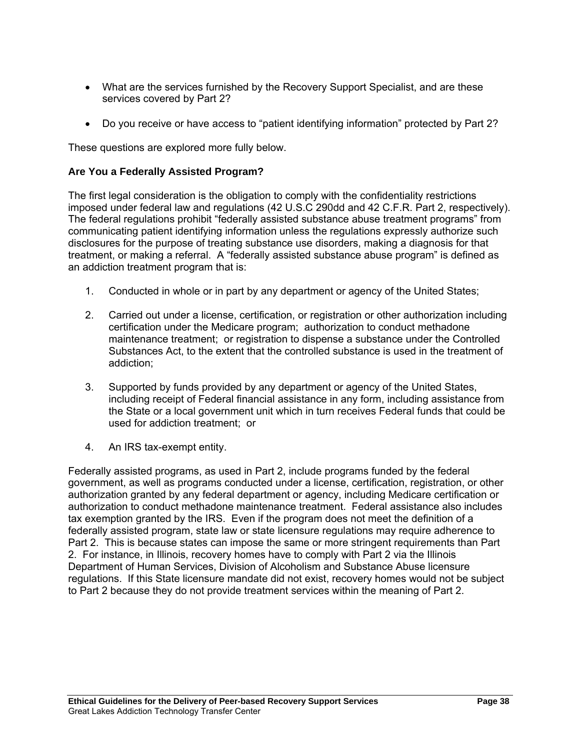- What are the services furnished by the Recovery Support Specialist, and are these services covered by Part 2?
- Do you receive or have access to "patient identifying information" protected by Part 2?

These questions are explored more fully below.

# **Are You a Federally Assisted Program?**

The first legal consideration is the obligation to comply with the confidentiality restrictions imposed under federal law and regulations (42 U.S.C 290dd and 42 C.F.R. Part 2, respectively). The federal regulations prohibit "federally assisted substance abuse treatment programs" from communicating patient identifying information unless the regulations expressly authorize such disclosures for the purpose of treating substance use disorders, making a diagnosis for that treatment, or making a referral. A "federally assisted substance abuse program" is defined as an addiction treatment program that is:

- 1. Conducted in whole or in part by any department or agency of the United States;
- 2. Carried out under a license, certification, or registration or other authorization including certification under the Medicare program; authorization to conduct methadone maintenance treatment; or registration to dispense a substance under the Controlled Substances Act, to the extent that the controlled substance is used in the treatment of addiction;
- 3. Supported by funds provided by any department or agency of the United States, including receipt of Federal financial assistance in any form, including assistance from the State or a local government unit which in turn receives Federal funds that could be used for addiction treatment; or
- 4. An IRS tax-exempt entity.

Federally assisted programs, as used in Part 2, include programs funded by the federal government, as well as programs conducted under a license, certification, registration, or other authorization granted by any federal department or agency, including Medicare certification or authorization to conduct methadone maintenance treatment. Federal assistance also includes tax exemption granted by the IRS. Even if the program does not meet the definition of a federally assisted program, state law or state licensure regulations may require adherence to Part 2. This is because states can impose the same or more stringent requirements than Part 2. For instance, in Illinois, recovery homes have to comply with Part 2 via the Illinois Department of Human Services, Division of Alcoholism and Substance Abuse licensure regulations. If this State licensure mandate did not exist, recovery homes would not be subject to Part 2 because they do not provide treatment services within the meaning of Part 2.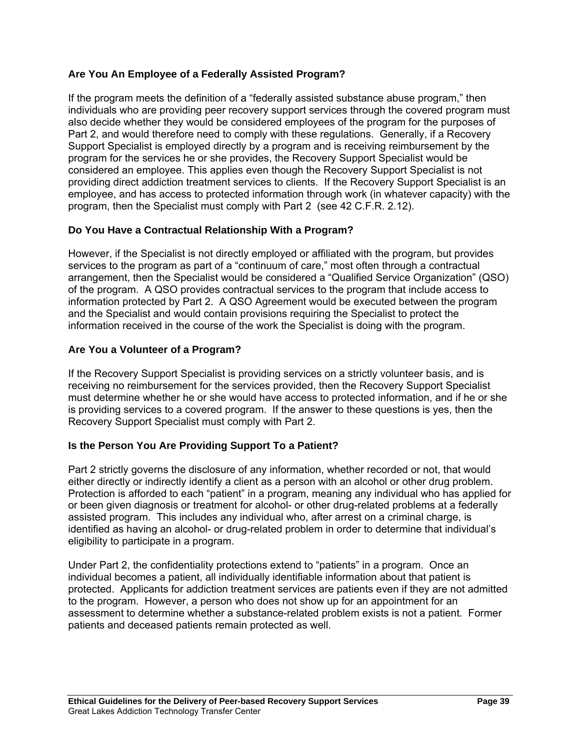# **Are You An Employee of a Federally Assisted Program?**

If the program meets the definition of a "federally assisted substance abuse program," then individuals who are providing peer recovery support services through the covered program must also decide whether they would be considered employees of the program for the purposes of Part 2, and would therefore need to comply with these regulations. Generally, if a Recovery Support Specialist is employed directly by a program and is receiving reimbursement by the program for the services he or she provides, the Recovery Support Specialist would be considered an employee. This applies even though the Recovery Support Specialist is not providing direct addiction treatment services to clients. If the Recovery Support Specialist is an employee, and has access to protected information through work (in whatever capacity) with the program, then the Specialist must comply with Part 2 (see 42 C.F.R. 2.12).

# **Do You Have a Contractual Relationship With a Program?**

However, if the Specialist is not directly employed or affiliated with the program, but provides services to the program as part of a "continuum of care," most often through a contractual arrangement, then the Specialist would be considered a "Qualified Service Organization" (QSO) of the program. A QSO provides contractual services to the program that include access to information protected by Part 2. A QSO Agreement would be executed between the program and the Specialist and would contain provisions requiring the Specialist to protect the information received in the course of the work the Specialist is doing with the program.

# **Are You a Volunteer of a Program?**

If the Recovery Support Specialist is providing services on a strictly volunteer basis, and is receiving no reimbursement for the services provided, then the Recovery Support Specialist must determine whether he or she would have access to protected information, and if he or she is providing services to a covered program. If the answer to these questions is yes, then the Recovery Support Specialist must comply with Part 2.

# **Is the Person You Are Providing Support To a Patient?**

Part 2 strictly governs the disclosure of any information, whether recorded or not, that would either directly or indirectly identify a client as a person with an alcohol or other drug problem. Protection is afforded to each "patient" in a program, meaning any individual who has applied for or been given diagnosis or treatment for alcohol- or other drug-related problems at a federally assisted program. This includes any individual who, after arrest on a criminal charge, is identified as having an alcohol- or drug-related problem in order to determine that individual's eligibility to participate in a program.

Under Part 2, the confidentiality protections extend to "patients" in a program. Once an individual becomes a patient, all individually identifiable information about that patient is protected. Applicants for addiction treatment services are patients even if they are not admitted to the program. However, a person who does not show up for an appointment for an assessment to determine whether a substance-related problem exists is not a patient. Former patients and deceased patients remain protected as well.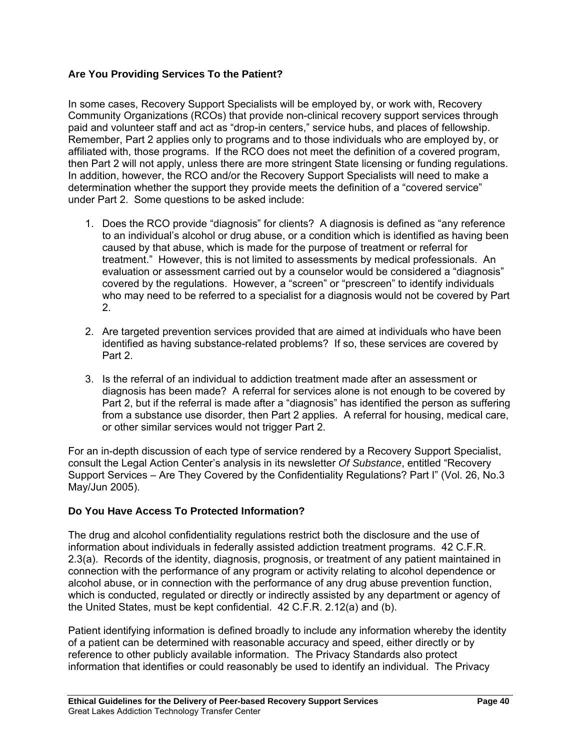# **Are You Providing Services To the Patient?**

In some cases, Recovery Support Specialists will be employed by, or work with, Recovery Community Organizations (RCOs) that provide non-clinical recovery support services through paid and volunteer staff and act as "drop-in centers," service hubs, and places of fellowship. Remember, Part 2 applies only to programs and to those individuals who are employed by, or affiliated with, those programs. If the RCO does not meet the definition of a covered program, then Part 2 will not apply, unless there are more stringent State licensing or funding regulations. In addition, however, the RCO and/or the Recovery Support Specialists will need to make a determination whether the support they provide meets the definition of a "covered service" under Part 2. Some questions to be asked include:

- 1. Does the RCO provide "diagnosis" for clients? A diagnosis is defined as "any reference to an individual's alcohol or drug abuse, or a condition which is identified as having been caused by that abuse, which is made for the purpose of treatment or referral for treatment." However, this is not limited to assessments by medical professionals. An evaluation or assessment carried out by a counselor would be considered a "diagnosis" covered by the regulations. However, a "screen" or "prescreen" to identify individuals who may need to be referred to a specialist for a diagnosis would not be covered by Part 2.
- 2. Are targeted prevention services provided that are aimed at individuals who have been identified as having substance-related problems? If so, these services are covered by Part 2.
- 3. Is the referral of an individual to addiction treatment made after an assessment or diagnosis has been made? A referral for services alone is not enough to be covered by Part 2, but if the referral is made after a "diagnosis" has identified the person as suffering from a substance use disorder, then Part 2 applies. A referral for housing, medical care, or other similar services would not trigger Part 2.

For an in-depth discussion of each type of service rendered by a Recovery Support Specialist, consult the Legal Action Center's analysis in its newsletter *Of Substance*, entitled "Recovery Support Services – Are They Covered by the Confidentiality Regulations? Part I" (Vol. 26, No.3 May/Jun 2005).

# **Do You Have Access To Protected Information?**

The drug and alcohol confidentiality regulations restrict both the disclosure and the use of information about individuals in federally assisted addiction treatment programs. 42 C.F.R. 2.3(a). Records of the identity, diagnosis, prognosis, or treatment of any patient maintained in connection with the performance of any program or activity relating to alcohol dependence or alcohol abuse, or in connection with the performance of any drug abuse prevention function, which is conducted, regulated or directly or indirectly assisted by any department or agency of the United States, must be kept confidential. 42 C.F.R. 2.12(a) and (b).

Patient identifying information is defined broadly to include any information whereby the identity of a patient can be determined with reasonable accuracy and speed, either directly or by reference to other publicly available information. The Privacy Standards also protect information that identifies or could reasonably be used to identify an individual. The Privacy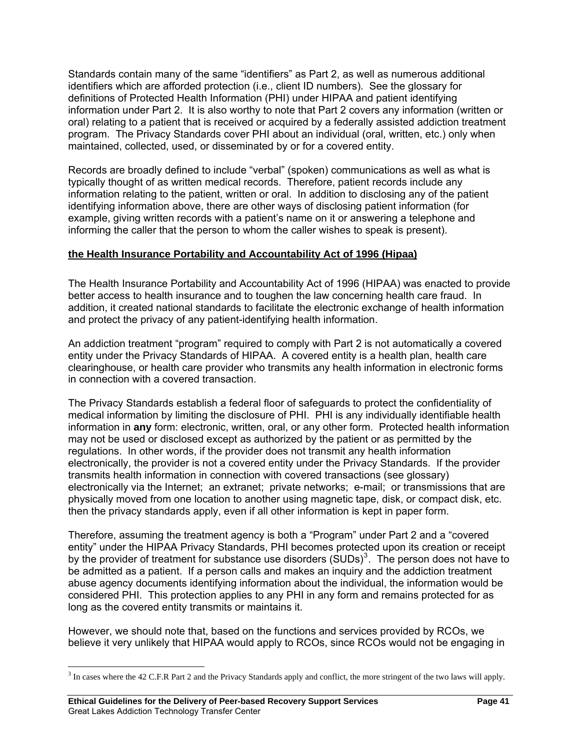Standards contain many of the same "identifiers" as Part 2, as well as numerous additional identifiers which are afforded protection (i.e., client ID numbers). See the glossary for definitions of Protected Health Information (PHI) under HIPAA and patient identifying information under Part 2. It is also worthy to note that Part 2 covers any information (written or oral) relating to a patient that is received or acquired by a federally assisted addiction treatment program. The Privacy Standards cover PHI about an individual (oral, written, etc.) only when maintained, collected, used, or disseminated by or for a covered entity.

Records are broadly defined to include "verbal" (spoken) communications as well as what is typically thought of as written medical records. Therefore, patient records include any information relating to the patient, written or oral. In addition to disclosing any of the patient identifying information above, there are other ways of disclosing patient information (for example, giving written records with a patient's name on it or answering a telephone and informing the caller that the person to whom the caller wishes to speak is present).

# **the Health Insurance Portability and Accountability Act of 1996 (Hipaa)**

The Health Insurance Portability and Accountability Act of 1996 (HIPAA) was enacted to provide better access to health insurance and to toughen the law concerning health care fraud. In addition, it created national standards to facilitate the electronic exchange of health information and protect the privacy of any patient-identifying health information.

An addiction treatment "program" required to comply with Part 2 is not automatically a covered entity under the Privacy Standards of HIPAA. A covered entity is a health plan, health care clearinghouse, or health care provider who transmits any health information in electronic forms in connection with a covered transaction.

The Privacy Standards establish a federal floor of safeguards to protect the confidentiality of medical information by limiting the disclosure of PHI. PHI is any individually identifiable health information in **any** form: electronic, written, oral, or any other form. Protected health information may not be used or disclosed except as authorized by the patient or as permitted by the regulations. In other words, if the provider does not transmit any health information electronically, the provider is not a covered entity under the Privacy Standards. If the provider transmits health information in connection with covered transactions (see glossary) electronically via the Internet; an extranet; private networks; e-mail; or transmissions that are physically moved from one location to another using magnetic tape, disk, or compact disk, etc. then the privacy standards apply, even if all other information is kept in paper form.

Therefore, assuming the treatment agency is both a "Program" under Part 2 and a "covered entity" under the HIPAA Privacy Standards, PHI becomes protected upon its creation or receipt by the provider of treatment for substance use disorders  $(SUDs)^3$  $(SUDs)^3$ . The person does not have to be admitted as a patient. If a person calls and makes an inquiry and the addiction treatment abuse agency documents identifying information about the individual, the information would be considered PHI. This protection applies to any PHI in any form and remains protected for as long as the covered entity transmits or maintains it.

However, we should note that, based on the functions and services provided by RCOs, we believe it very unlikely that HIPAA would apply to RCOs, since RCOs would not be engaging in

<span id="page-40-0"></span> $\overline{a}$ 3 In cases where the 42 C.F.R Part 2 and the Privacy Standards apply and conflict, the more stringent of the two laws will apply.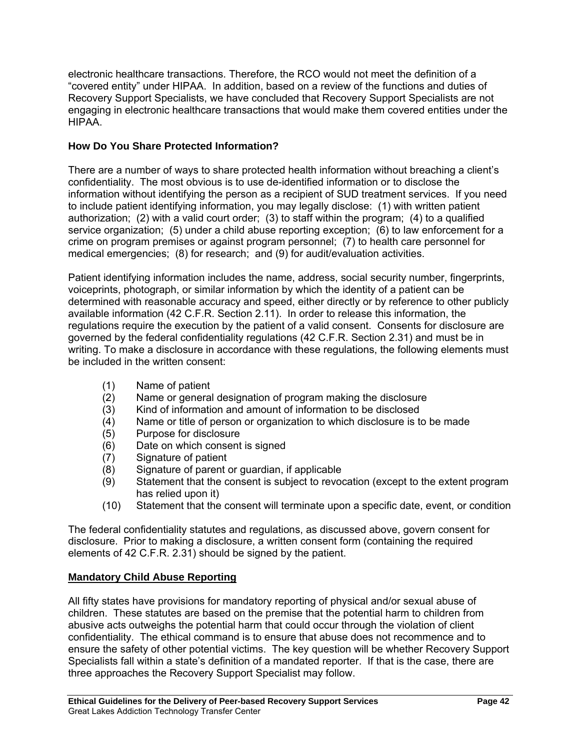electronic healthcare transactions. Therefore, the RCO would not meet the definition of a "covered entity" under HIPAA. In addition, based on a review of the functions and duties of Recovery Support Specialists, we have concluded that Recovery Support Specialists are not engaging in electronic healthcare transactions that would make them covered entities under the HIPAA.

# **How Do You Share Protected Information?**

There are a number of ways to share protected health information without breaching a client's confidentiality. The most obvious is to use de-identified information or to disclose the information without identifying the person as a recipient of SUD treatment services. If you need to include patient identifying information, you may legally disclose: (1) with written patient authorization; (2) with a valid court order; (3) to staff within the program; (4) to a qualified service organization; (5) under a child abuse reporting exception; (6) to law enforcement for a crime on program premises or against program personnel; (7) to health care personnel for medical emergencies; (8) for research; and (9) for audit/evaluation activities.

Patient identifying information includes the name, address, social security number, fingerprints, voiceprints, photograph, or similar information by which the identity of a patient can be determined with reasonable accuracy and speed, either directly or by reference to other publicly available information (42 C.F.R. Section 2.11). In order to release this information, the regulations require the execution by the patient of a valid consent. Consents for disclosure are governed by the federal confidentiality regulations (42 C.F.R. Section 2.31) and must be in writing. To make a disclosure in accordance with these regulations, the following elements must be included in the written consent:

- (1) Name of patient
- (2) Name or general designation of program making the disclosure
- (3) Kind of information and amount of information to be disclosed
- (4) Name or title of person or organization to which disclosure is to be made
- (5) Purpose for disclosure
- (6) Date on which consent is signed
- (7) Signature of patient
- (8) Signature of parent or guardian, if applicable
- (9) Statement that the consent is subject to revocation (except to the extent program has relied upon it)
- (10) Statement that the consent will terminate upon a specific date, event, or condition

The federal confidentiality statutes and regulations, as discussed above, govern consent for disclosure. Prior to making a disclosure, a written consent form (containing the required elements of 42 C.F.R. 2.31) should be signed by the patient.

# **Mandatory Child Abuse Reporting**

All fifty states have provisions for mandatory reporting of physical and/or sexual abuse of children. These statutes are based on the premise that the potential harm to children from abusive acts outweighs the potential harm that could occur through the violation of client confidentiality. The ethical command is to ensure that abuse does not recommence and to ensure the safety of other potential victims. The key question will be whether Recovery Support Specialists fall within a state's definition of a mandated reporter. If that is the case, there are three approaches the Recovery Support Specialist may follow.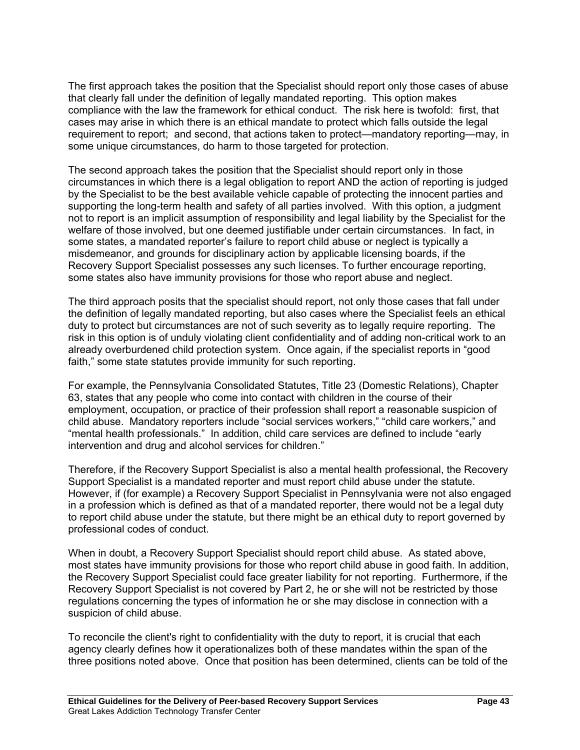The first approach takes the position that the Specialist should report only those cases of abuse that clearly fall under the definition of legally mandated reporting. This option makes compliance with the law the framework for ethical conduct. The risk here is twofold: first, that cases may arise in which there is an ethical mandate to protect which falls outside the legal requirement to report; and second, that actions taken to protect—mandatory reporting—may, in some unique circumstances, do harm to those targeted for protection.

The second approach takes the position that the Specialist should report only in those circumstances in which there is a legal obligation to report AND the action of reporting is judged by the Specialist to be the best available vehicle capable of protecting the innocent parties and supporting the long-term health and safety of all parties involved. With this option, a judgment not to report is an implicit assumption of responsibility and legal liability by the Specialist for the welfare of those involved, but one deemed justifiable under certain circumstances. In fact, in some states, a mandated reporter's failure to report child abuse or neglect is typically a misdemeanor, and grounds for disciplinary action by applicable licensing boards, if the Recovery Support Specialist possesses any such licenses. To further encourage reporting, some states also have immunity provisions for those who report abuse and neglect.

The third approach posits that the specialist should report, not only those cases that fall under the definition of legally mandated reporting, but also cases where the Specialist feels an ethical duty to protect but circumstances are not of such severity as to legally require reporting. The risk in this option is of unduly violating client confidentiality and of adding non-critical work to an already overburdened child protection system. Once again, if the specialist reports in "good faith," some state statutes provide immunity for such reporting.

For example, the Pennsylvania Consolidated Statutes, Title 23 (Domestic Relations), Chapter 63, states that any people who come into contact with children in the course of their employment, occupation, or practice of their profession shall report a reasonable suspicion of child abuse. Mandatory reporters include "social services workers," "child care workers," and "mental health professionals." In addition, child care services are defined to include "early intervention and drug and alcohol services for children."

Therefore, if the Recovery Support Specialist is also a mental health professional, the Recovery Support Specialist is a mandated reporter and must report child abuse under the statute. However, if (for example) a Recovery Support Specialist in Pennsylvania were not also engaged in a profession which is defined as that of a mandated reporter, there would not be a legal duty to report child abuse under the statute, but there might be an ethical duty to report governed by professional codes of conduct.

When in doubt, a Recovery Support Specialist should report child abuse. As stated above, most states have immunity provisions for those who report child abuse in good faith. In addition, the Recovery Support Specialist could face greater liability for not reporting. Furthermore, if the Recovery Support Specialist is not covered by Part 2, he or she will not be restricted by those regulations concerning the types of information he or she may disclose in connection with a suspicion of child abuse.

To reconcile the client's right to confidentiality with the duty to report, it is crucial that each agency clearly defines how it operationalizes both of these mandates within the span of the three positions noted above. Once that position has been determined, clients can be told of the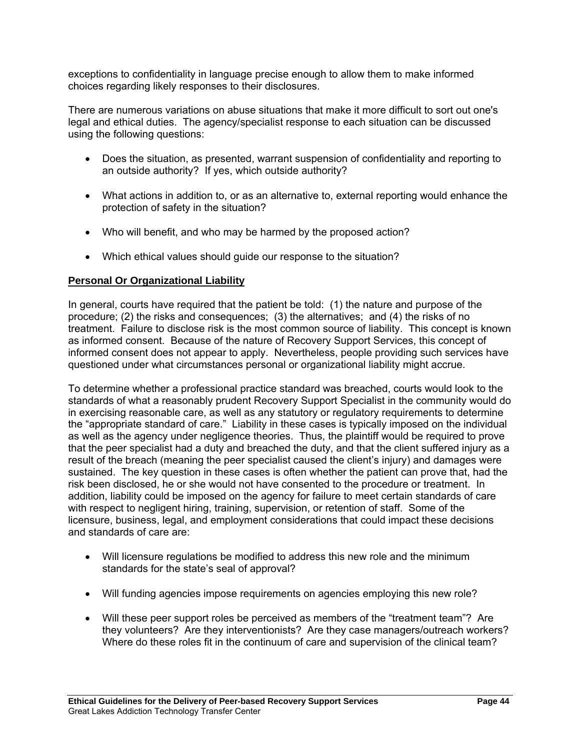exceptions to confidentiality in language precise enough to allow them to make informed choices regarding likely responses to their disclosures.

There are numerous variations on abuse situations that make it more difficult to sort out one's legal and ethical duties. The agency/specialist response to each situation can be discussed using the following questions:

- Does the situation, as presented, warrant suspension of confidentiality and reporting to an outside authority? If yes, which outside authority?
- What actions in addition to, or as an alternative to, external reporting would enhance the protection of safety in the situation?
- Who will benefit, and who may be harmed by the proposed action?
- Which ethical values should guide our response to the situation?

# **Personal Or Organizational Liability**

In general, courts have required that the patient be told: (1) the nature and purpose of the procedure; (2) the risks and consequences; (3) the alternatives; and (4) the risks of no treatment. Failure to disclose risk is the most common source of liability. This concept is known as informed consent. Because of the nature of Recovery Support Services, this concept of informed consent does not appear to apply. Nevertheless, people providing such services have questioned under what circumstances personal or organizational liability might accrue.

To determine whether a professional practice standard was breached, courts would look to the standards of what a reasonably prudent Recovery Support Specialist in the community would do in exercising reasonable care, as well as any statutory or regulatory requirements to determine the "appropriate standard of care." Liability in these cases is typically imposed on the individual as well as the agency under negligence theories. Thus, the plaintiff would be required to prove that the peer specialist had a duty and breached the duty, and that the client suffered injury as a result of the breach (meaning the peer specialist caused the client's injury) and damages were sustained. The key question in these cases is often whether the patient can prove that, had the risk been disclosed, he or she would not have consented to the procedure or treatment. In addition, liability could be imposed on the agency for failure to meet certain standards of care with respect to negligent hiring, training, supervision, or retention of staff. Some of the licensure, business, legal, and employment considerations that could impact these decisions and standards of care are:

- Will licensure regulations be modified to address this new role and the minimum standards for the state's seal of approval?
- Will funding agencies impose requirements on agencies employing this new role?
- Will these peer support roles be perceived as members of the "treatment team"? Are they volunteers? Are they interventionists? Are they case managers/outreach workers? Where do these roles fit in the continuum of care and supervision of the clinical team?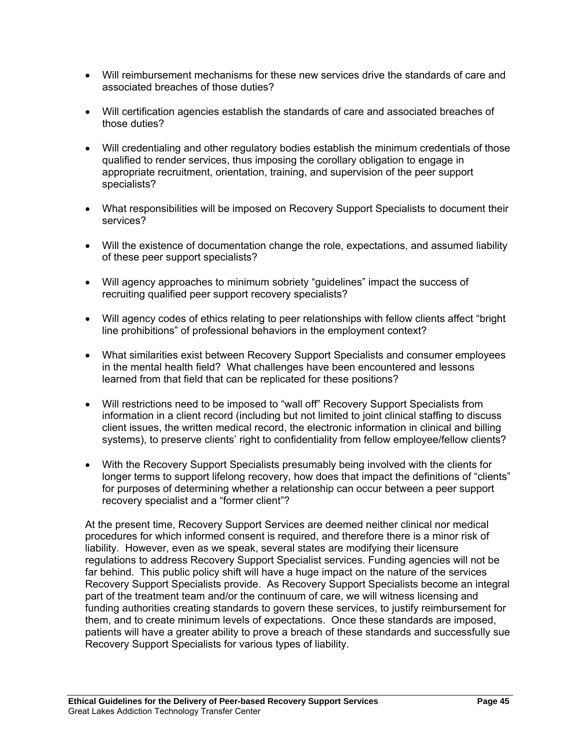- Will reimbursement mechanisms for these new services drive the standards of care and associated breaches of those duties?
- Will certification agencies establish the standards of care and associated breaches of those duties?
- Will credentialing and other regulatory bodies establish the minimum credentials of those qualified to render services, thus imposing the corollary obligation to engage in appropriate recruitment, orientation, training, and supervision of the peer support specialists?
- What responsibilities will be imposed on Recovery Support Specialists to document their services?
- Will the existence of documentation change the role, expectations, and assumed liability of these peer support specialists?
- Will agency approaches to minimum sobriety "guidelines" impact the success of recruiting qualified peer support recovery specialists?
- Will agency codes of ethics relating to peer relationships with fellow clients affect "bright line prohibitions" of professional behaviors in the employment context?
- What similarities exist between Recovery Support Specialists and consumer employees in the mental health field? What challenges have been encountered and lessons learned from that field that can be replicated for these positions?
- Will restrictions need to be imposed to "wall off" Recovery Support Specialists from information in a client record (including but not limited to joint clinical staffing to discuss client issues, the written medical record, the electronic information in clinical and billing systems), to preserve clients' right to confidentiality from fellow employee/fellow clients?
- With the Recovery Support Specialists presumably being involved with the clients for longer terms to support lifelong recovery, how does that impact the definitions of "clients" for purposes of determining whether a relationship can occur between a peer support recovery specialist and a "former client"?

At the present time, Recovery Support Services are deemed neither clinical nor medical procedures for which informed consent is required, and therefore there is a minor risk of liability. However, even as we speak, several states are modifying their licensure regulations to address Recovery Support Specialist services. Funding agencies will not be far behind. This public policy shift will have a huge impact on the nature of the services Recovery Support Specialists provide. As Recovery Support Specialists become an integral part of the treatment team and/or the continuum of care, we will witness licensing and funding authorities creating standards to govern these services, to justify reimbursement for them, and to create minimum levels of expectations. Once these standards are imposed, patients will have a greater ability to prove a breach of these standards and successfully sue Recovery Support Specialists for various types of liability.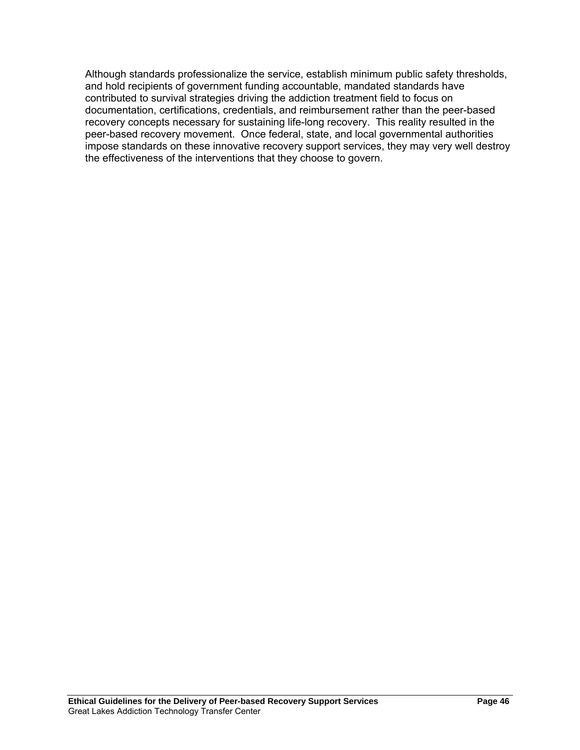Although standards professionalize the service, establish minimum public safety thresholds, and hold recipients of government funding accountable, mandated standards have contributed to survival strategies driving the addiction treatment field to focus on documentation, certifications, credentials, and reimbursement rather than the peer-based recovery concepts necessary for sustaining life-long recovery. This reality resulted in the peer-based recovery movement. Once federal, state, and local governmental authorities impose standards on these innovative recovery support services, they may very well destroy the effectiveness of the interventions that they choose to govern.